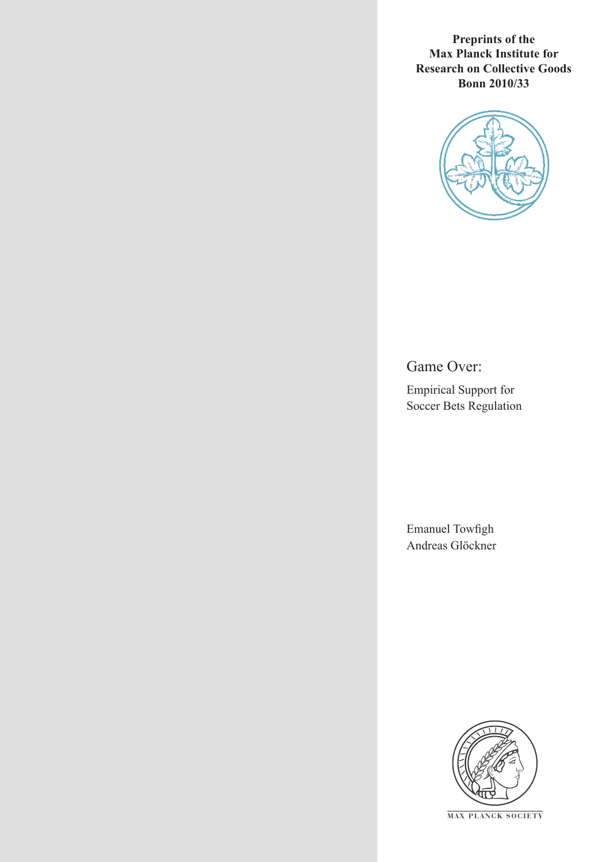**Preprints of the Max Planck Institute for Research on Collective Goods Bonn 2010/33**



Game Over:

Empirical Support for Soccer Bets Regulation

Emanuel Towfigh Andreas Glöckner



**M AX P L A N C K S O C I E T Y**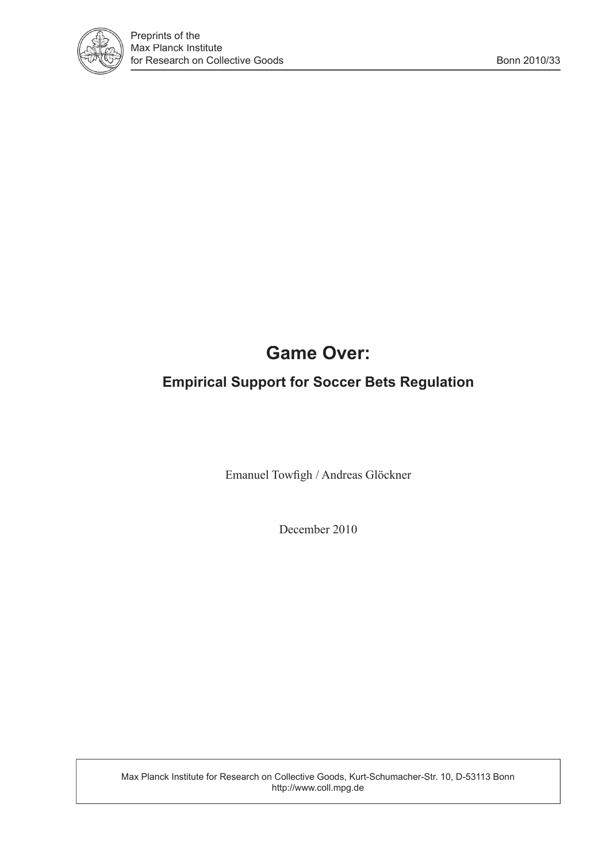

# **Game Over:**

## **Empirical Support for Soccer Bets Regulation**

Emanuel Towfigh / Andreas Glöckner

December 2010

Max Planck Institute for Research on Collective Goods, Kurt-Schumacher-Str. 10, D-53113 Bonn http://www.coll.mpg.de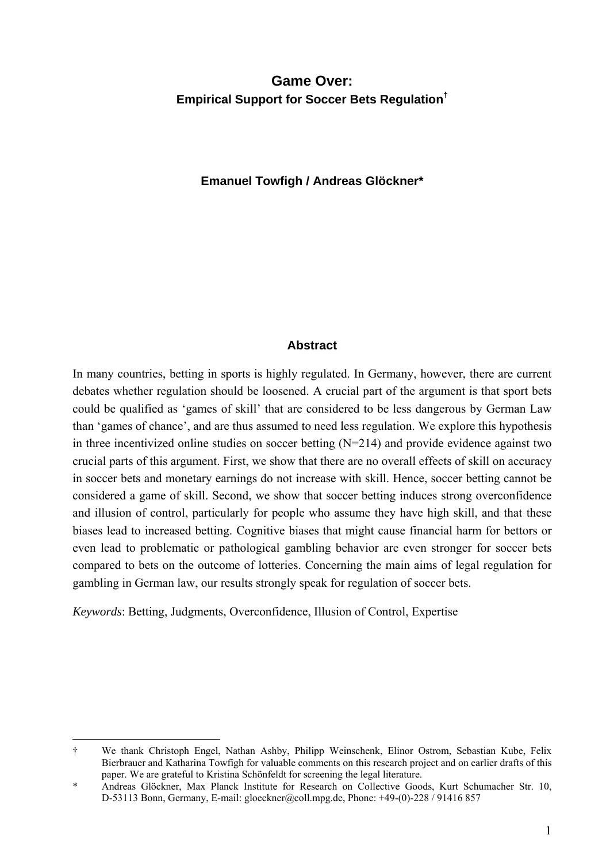## **Game Over: Empirical Support for Soccer Bets Regulation†**

#### **Emanuel Towfigh / Andreas Glöckner\***

#### **Abstract**

In many countries, betting in sports is highly regulated. In Germany, however, there are current debates whether regulation should be loosened. A crucial part of the argument is that sport bets could be qualified as 'games of skill' that are considered to be less dangerous by German Law than 'games of chance', and are thus assumed to need less regulation. We explore this hypothesis in three incentivized online studies on soccer betting (N=214) and provide evidence against two crucial parts of this argument. First, we show that there are no overall effects of skill on accuracy in soccer bets and monetary earnings do not increase with skill. Hence, soccer betting cannot be considered a game of skill. Second, we show that soccer betting induces strong overconfidence and illusion of control, particularly for people who assume they have high skill, and that these biases lead to increased betting. Cognitive biases that might cause financial harm for bettors or even lead to problematic or pathological gambling behavior are even stronger for soccer bets compared to bets on the outcome of lotteries. Concerning the main aims of legal regulation for gambling in German law, our results strongly speak for regulation of soccer bets.

*Keywords*: Betting, Judgments, Overconfidence, Illusion of Control, Expertise

-

<sup>†</sup> We thank Christoph Engel, Nathan Ashby, Philipp Weinschenk, Elinor Ostrom, Sebastian Kube, Felix Bierbrauer and Katharina Towfigh for valuable comments on this research project and on earlier drafts of this paper. We are grateful to Kristina Schönfeldt for screening the legal literature.

Andreas Glöckner, Max Planck Institute for Research on Collective Goods, Kurt Schumacher Str. 10, D-53113 Bonn, Germany, E-mail: gloeckner@coll.mpg.de, Phone: +49-(0)-228 / 91416 857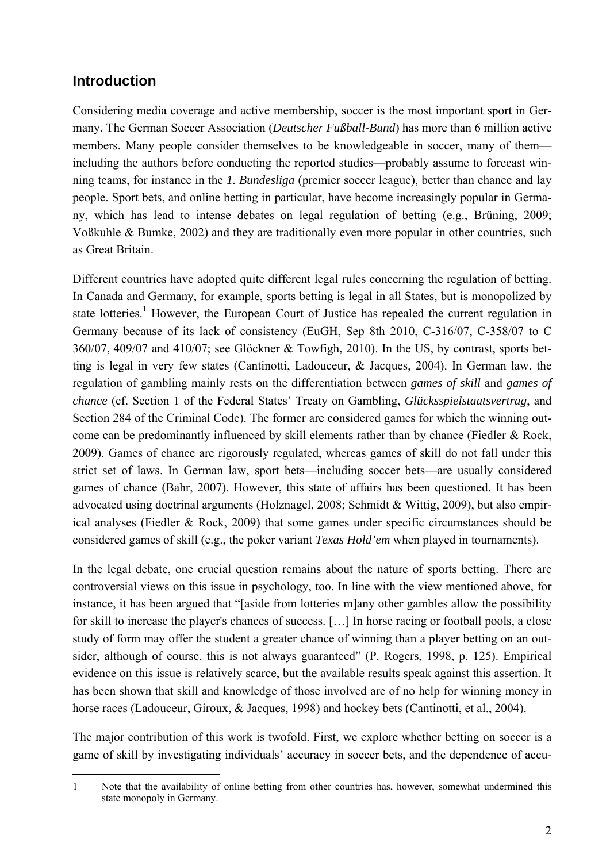## **Introduction**

Considering media coverage and active membership, soccer is the most important sport in Germany. The German Soccer Association (*Deutscher Fußball-Bund*) has more than 6 million active members. Many people consider themselves to be knowledgeable in soccer, many of them including the authors before conducting the reported studies—probably assume to forecast winning teams, for instance in the *1. Bundesliga* (premier soccer league), better than chance and lay people. Sport bets, and online betting in particular, have become increasingly popular in Germany, which has lead to intense debates on legal regulation of betting (e.g., Brüning, 2009; Voßkuhle & Bumke, 2002) and they are traditionally even more popular in other countries, such as Great Britain.

Different countries have adopted quite different legal rules concerning the regulation of betting. In Canada and Germany, for example, sports betting is legal in all States, but is monopolized by state lotteries.<sup>1</sup> However, the European Court of Justice has repealed the current regulation in Germany because of its lack of consistency (EuGH, Sep 8th 2010, C-316/07, C-358/07 to C 360/07, 409/07 and 410/07; see Glöckner & Towfigh, 2010). In the US, by contrast, sports betting is legal in very few states (Cantinotti, Ladouceur, & Jacques, 2004). In German law, the regulation of gambling mainly rests on the differentiation between *games of skill* and *games of chance* (cf. Section 1 of the Federal States' Treaty on Gambling, *Glücksspielstaatsvertrag*, and Section 284 of the Criminal Code). The former are considered games for which the winning outcome can be predominantly influenced by skill elements rather than by chance (Fiedler & Rock, 2009). Games of chance are rigorously regulated, whereas games of skill do not fall under this strict set of laws. In German law, sport bets—including soccer bets—are usually considered games of chance (Bahr, 2007). However, this state of affairs has been questioned. It has been advocated using doctrinal arguments (Holznagel, 2008; Schmidt & Wittig, 2009), but also empirical analyses (Fiedler & Rock, 2009) that some games under specific circumstances should be considered games of skill (e.g., the poker variant *Texas Hold'em* when played in tournaments).

In the legal debate, one crucial question remains about the nature of sports betting. There are controversial views on this issue in psychology, too. In line with the view mentioned above, for instance, it has been argued that "[aside from lotteries m]any other gambles allow the possibility for skill to increase the player's chances of success. […] In horse racing or football pools, a close study of form may offer the student a greater chance of winning than a player betting on an outsider, although of course, this is not always guaranteed" (P. Rogers, 1998, p. 125). Empirical evidence on this issue is relatively scarce, but the available results speak against this assertion. It has been shown that skill and knowledge of those involved are of no help for winning money in horse races (Ladouceur, Giroux, & Jacques, 1998) and hockey bets (Cantinotti, et al., 2004).

The major contribution of this work is twofold. First, we explore whether betting on soccer is a game of skill by investigating individuals' accuracy in soccer bets, and the dependence of accu-

<sup>-</sup>1 Note that the availability of online betting from other countries has, however, somewhat undermined this state monopoly in Germany.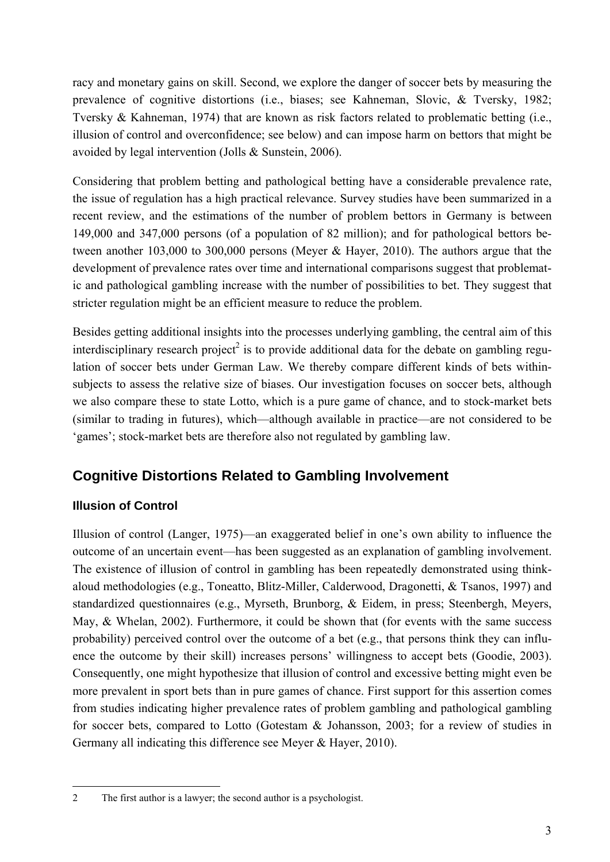racy and monetary gains on skill. Second, we explore the danger of soccer bets by measuring the prevalence of cognitive distortions (i.e., biases; see Kahneman, Slovic, & Tversky, 1982; Tversky & Kahneman, 1974) that are known as risk factors related to problematic betting (i.e., illusion of control and overconfidence; see below) and can impose harm on bettors that might be avoided by legal intervention (Jolls & Sunstein, 2006).

Considering that problem betting and pathological betting have a considerable prevalence rate, the issue of regulation has a high practical relevance. Survey studies have been summarized in a recent review, and the estimations of the number of problem bettors in Germany is between 149,000 and 347,000 persons (of a population of 82 million); and for pathological bettors between another 103,000 to 300,000 persons (Meyer & Hayer, 2010). The authors argue that the development of prevalence rates over time and international comparisons suggest that problematic and pathological gambling increase with the number of possibilities to bet. They suggest that stricter regulation might be an efficient measure to reduce the problem.

Besides getting additional insights into the processes underlying gambling, the central aim of this interdisciplinary research project<sup>2</sup> is to provide additional data for the debate on gambling regulation of soccer bets under German Law. We thereby compare different kinds of bets withinsubjects to assess the relative size of biases. Our investigation focuses on soccer bets, although we also compare these to state Lotto, which is a pure game of chance, and to stock-market bets (similar to trading in futures), which—although available in practice—are not considered to be 'games'; stock-market bets are therefore also not regulated by gambling law.

## **Cognitive Distortions Related to Gambling Involvement**

## **Illusion of Control**

Illusion of control (Langer, 1975)—an exaggerated belief in one's own ability to influence the outcome of an uncertain event—has been suggested as an explanation of gambling involvement. The existence of illusion of control in gambling has been repeatedly demonstrated using thinkaloud methodologies (e.g., Toneatto, Blitz-Miller, Calderwood, Dragonetti, & Tsanos, 1997) and standardized questionnaires (e.g., Myrseth, Brunborg, & Eidem, in press; Steenbergh, Meyers, May, & Whelan, 2002). Furthermore, it could be shown that (for events with the same success probability) perceived control over the outcome of a bet (e.g., that persons think they can influence the outcome by their skill) increases persons' willingness to accept bets (Goodie, 2003). Consequently, one might hypothesize that illusion of control and excessive betting might even be more prevalent in sport bets than in pure games of chance. First support for this assertion comes from studies indicating higher prevalence rates of problem gambling and pathological gambling for soccer bets, compared to Lotto (Gotestam & Johansson, 2003; for a review of studies in Germany all indicating this difference see Meyer & Hayer, 2010).

<sup>-</sup>2 The first author is a lawyer; the second author is a psychologist.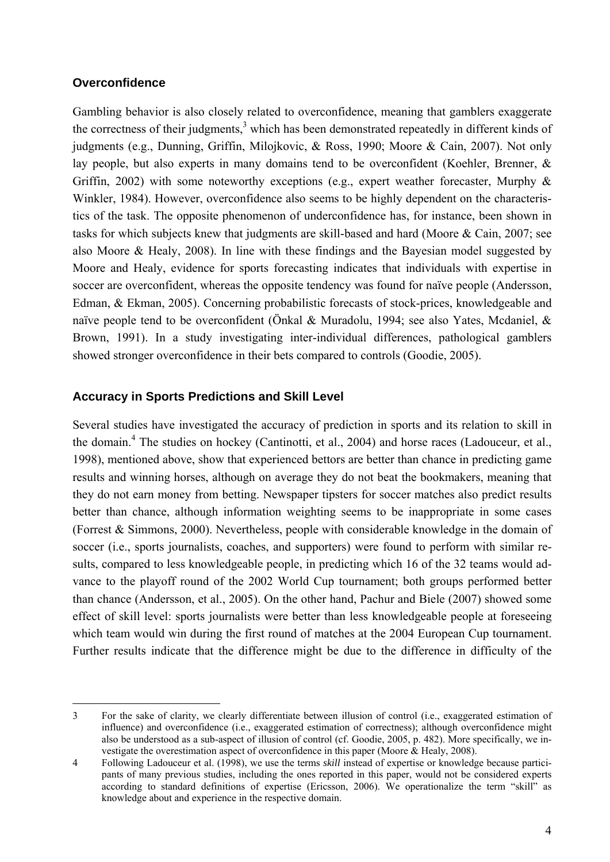#### **Overconfidence**

-

Gambling behavior is also closely related to overconfidence, meaning that gamblers exaggerate the correctness of their judgments, $3$  which has been demonstrated repeatedly in different kinds of judgments (e.g., Dunning, Griffin, Milojkovic, & Ross, 1990; Moore & Cain, 2007). Not only lay people, but also experts in many domains tend to be overconfident (Koehler, Brenner, & Griffin, 2002) with some noteworthy exceptions (e.g., expert weather forecaster, Murphy  $\&$ Winkler, 1984). However, overconfidence also seems to be highly dependent on the characteristics of the task. The opposite phenomenon of underconfidence has, for instance, been shown in tasks for which subjects knew that judgments are skill-based and hard (Moore & Cain, 2007; see also Moore & Healy, 2008). In line with these findings and the Bayesian model suggested by Moore and Healy, evidence for sports forecasting indicates that individuals with expertise in soccer are overconfident, whereas the opposite tendency was found for naïve people (Andersson, Edman, & Ekman, 2005). Concerning probabilistic forecasts of stock-prices, knowledgeable and naïve people tend to be overconfident (Önkal & Muradolu, 1994; see also Yates, Mcdaniel, & Brown, 1991). In a study investigating inter-individual differences, pathological gamblers showed stronger overconfidence in their bets compared to controls (Goodie, 2005).

#### **Accuracy in Sports Predictions and Skill Level**

Several studies have investigated the accuracy of prediction in sports and its relation to skill in the domain.<sup>4</sup> The studies on hockey (Cantinotti, et al., 2004) and horse races (Ladouceur, et al., 1998), mentioned above, show that experienced bettors are better than chance in predicting game results and winning horses, although on average they do not beat the bookmakers, meaning that they do not earn money from betting. Newspaper tipsters for soccer matches also predict results better than chance, although information weighting seems to be inappropriate in some cases (Forrest & Simmons, 2000). Nevertheless, people with considerable knowledge in the domain of soccer (i.e., sports journalists, coaches, and supporters) were found to perform with similar results, compared to less knowledgeable people, in predicting which 16 of the 32 teams would advance to the playoff round of the 2002 World Cup tournament; both groups performed better than chance (Andersson, et al., 2005). On the other hand, Pachur and Biele (2007) showed some effect of skill level: sports journalists were better than less knowledgeable people at foreseeing which team would win during the first round of matches at the 2004 European Cup tournament. Further results indicate that the difference might be due to the difference in difficulty of the

<sup>3</sup> For the sake of clarity, we clearly differentiate between illusion of control (i.e., exaggerated estimation of influence) and overconfidence (i.e., exaggerated estimation of correctness); although overconfidence might also be understood as a sub-aspect of illusion of control (cf. Goodie, 2005, p. 482). More specifically, we investigate the overestimation aspect of overconfidence in this paper (Moore & Healy, 2008).

<sup>4</sup> Following Ladouceur et al. (1998), we use the terms *skill* instead of expertise or knowledge because participants of many previous studies, including the ones reported in this paper, would not be considered experts according to standard definitions of expertise (Ericsson, 2006). We operationalize the term "skill" as knowledge about and experience in the respective domain.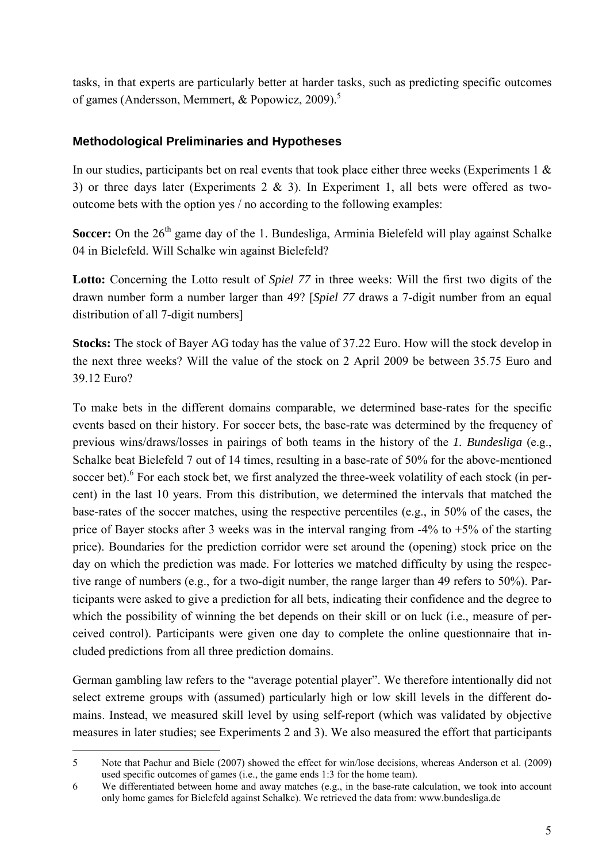tasks, in that experts are particularly better at harder tasks, such as predicting specific outcomes of games (Andersson, Memmert, & Popowicz, 2009).<sup>5</sup>

#### **Methodological Preliminaries and Hypotheses**

In our studies, participants bet on real events that took place either three weeks (Experiments 1  $\&$ 3) or three days later (Experiments  $2 \& 3$ ). In Experiment 1, all bets were offered as twooutcome bets with the option yes / no according to the following examples:

**Soccer:** On the 26<sup>th</sup> game day of the 1. Bundesliga, Arminia Bielefeld will play against Schalke 04 in Bielefeld. Will Schalke win against Bielefeld?

Lotto: Concerning the Lotto result of *Spiel 77* in three weeks: Will the first two digits of the drawn number form a number larger than 49? [*Spiel 77* draws a 7-digit number from an equal distribution of all 7-digit numbers]

**Stocks:** The stock of Bayer AG today has the value of 37.22 Euro. How will the stock develop in the next three weeks? Will the value of the stock on 2 April 2009 be between 35.75 Euro and 39.12 Euro?

To make bets in the different domains comparable, we determined base-rates for the specific events based on their history. For soccer bets, the base-rate was determined by the frequency of previous wins/draws/losses in pairings of both teams in the history of the *1. Bundesliga* (e.g., Schalke beat Bielefeld 7 out of 14 times, resulting in a base-rate of 50% for the above-mentioned soccer bet). <sup>6</sup> For each stock bet, we first analyzed the three-week volatility of each stock (in percent) in the last 10 years. From this distribution, we determined the intervals that matched the base-rates of the soccer matches, using the respective percentiles (e.g., in 50% of the cases, the price of Bayer stocks after 3 weeks was in the interval ranging from  $-4\%$  to  $+5\%$  of the starting price). Boundaries for the prediction corridor were set around the (opening) stock price on the day on which the prediction was made. For lotteries we matched difficulty by using the respective range of numbers (e.g., for a two-digit number, the range larger than 49 refers to 50%). Participants were asked to give a prediction for all bets, indicating their confidence and the degree to which the possibility of winning the bet depends on their skill or on luck (i.e., measure of perceived control). Participants were given one day to complete the online questionnaire that included predictions from all three prediction domains.

German gambling law refers to the "average potential player". We therefore intentionally did not select extreme groups with (assumed) particularly high or low skill levels in the different domains. Instead, we measured skill level by using self-report (which was validated by objective measures in later studies; see Experiments 2 and 3). We also measured the effort that participants

<sup>-</sup>5 Note that Pachur and Biele (2007) showed the effect for win/lose decisions, whereas Anderson et al. (2009) used specific outcomes of games (i.e., the game ends 1:3 for the home team).

<sup>6</sup> We differentiated between home and away matches (e.g., in the base-rate calculation, we took into account only home games for Bielefeld against Schalke). We retrieved the data from: www.bundesliga.de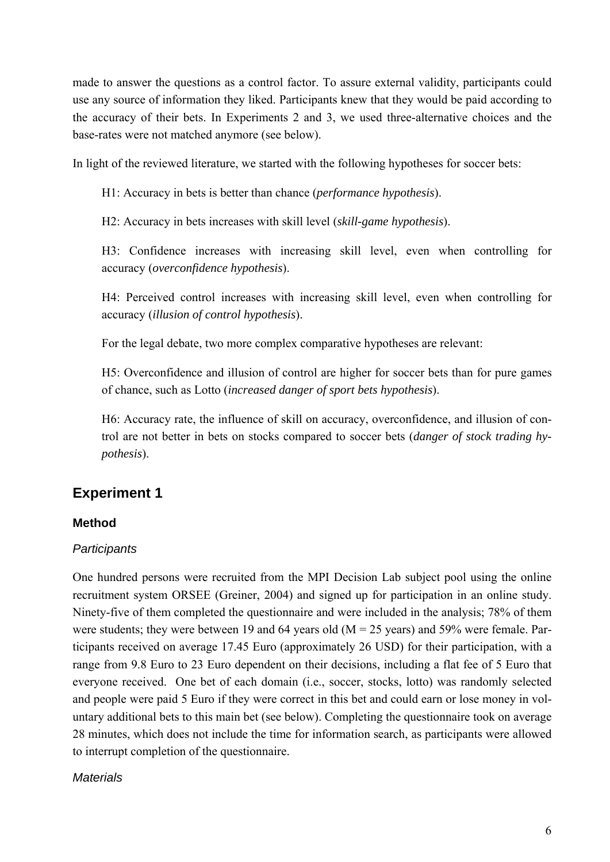made to answer the questions as a control factor. To assure external validity, participants could use any source of information they liked. Participants knew that they would be paid according to the accuracy of their bets. In Experiments 2 and 3, we used three-alternative choices and the base-rates were not matched anymore (see below).

In light of the reviewed literature, we started with the following hypotheses for soccer bets:

H1: Accuracy in bets is better than chance (*performance hypothesis*).

H2: Accuracy in bets increases with skill level (*skill-game hypothesis*).

H3: Confidence increases with increasing skill level, even when controlling for accuracy (*overconfidence hypothesis*).

H4: Perceived control increases with increasing skill level, even when controlling for accuracy (*illusion of control hypothesis*).

For the legal debate, two more complex comparative hypotheses are relevant:

H5: Overconfidence and illusion of control are higher for soccer bets than for pure games of chance, such as Lotto (*increased danger of sport bets hypothesis*).

H6: Accuracy rate, the influence of skill on accuracy, overconfidence, and illusion of control are not better in bets on stocks compared to soccer bets (*danger of stock trading hypothesis*).

## **Experiment 1**

#### **Method**

#### *Participants*

One hundred persons were recruited from the MPI Decision Lab subject pool using the online recruitment system ORSEE (Greiner, 2004) and signed up for participation in an online study. Ninety-five of them completed the questionnaire and were included in the analysis; 78% of them were students; they were between 19 and 64 years old ( $M = 25$  years) and 59% were female. Participants received on average 17.45 Euro (approximately 26 USD) for their participation, with a range from 9.8 Euro to 23 Euro dependent on their decisions, including a flat fee of 5 Euro that everyone received. One bet of each domain (i.e., soccer, stocks, lotto) was randomly selected and people were paid 5 Euro if they were correct in this bet and could earn or lose money in voluntary additional bets to this main bet (see below). Completing the questionnaire took on average 28 minutes, which does not include the time for information search, as participants were allowed to interrupt completion of the questionnaire.

#### *Materials*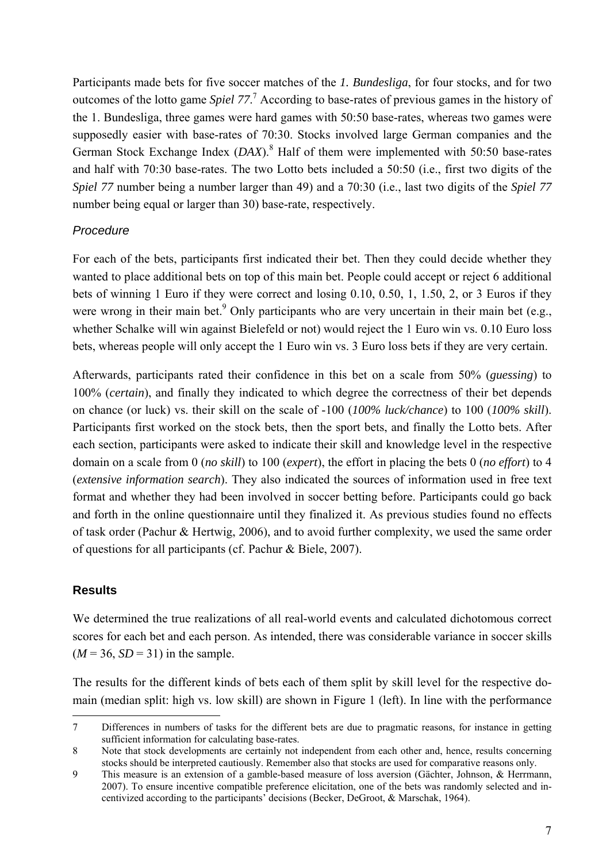Participants made bets for five soccer matches of the *1. Bundesliga*, for four stocks, and for two outcomes of the lotto game *Spiel 77*. 7 According to base-rates of previous games in the history of the 1. Bundesliga, three games were hard games with 50:50 base-rates, whereas two games were supposedly easier with base-rates of 70:30. Stocks involved large German companies and the German Stock Exchange Index (*DAX*).<sup>8</sup> Half of them were implemented with 50:50 base-rates and half with 70:30 base-rates. The two Lotto bets included a 50:50 (i.e., first two digits of the *Spiel 77* number being a number larger than 49) and a 70:30 (i.e., last two digits of the *Spiel 77* number being equal or larger than 30) base-rate, respectively.

#### *Procedure*

For each of the bets, participants first indicated their bet. Then they could decide whether they wanted to place additional bets on top of this main bet. People could accept or reject 6 additional bets of winning 1 Euro if they were correct and losing 0.10, 0.50, 1, 1.50, 2, or 3 Euros if they were wrong in their main bet.<sup>9</sup> Only participants who are very uncertain in their main bet (e.g., whether Schalke will win against Bielefeld or not) would reject the 1 Euro win vs. 0.10 Euro loss bets, whereas people will only accept the 1 Euro win vs. 3 Euro loss bets if they are very certain.

Afterwards, participants rated their confidence in this bet on a scale from 50% (*guessing*) to 100% (*certain*), and finally they indicated to which degree the correctness of their bet depends on chance (or luck) vs. their skill on the scale of -100 (*100% luck/chance*) to 100 (*100% skill*). Participants first worked on the stock bets, then the sport bets, and finally the Lotto bets. After each section, participants were asked to indicate their skill and knowledge level in the respective domain on a scale from 0 (*no skill*) to 100 (*expert*), the effort in placing the bets 0 (*no effort*) to 4 (*extensive information search*). They also indicated the sources of information used in free text format and whether they had been involved in soccer betting before. Participants could go back and forth in the online questionnaire until they finalized it. As previous studies found no effects of task order (Pachur & Hertwig, 2006), and to avoid further complexity, we used the same order of questions for all participants (cf. Pachur & Biele, 2007).

#### **Results**

-

We determined the true realizations of all real-world events and calculated dichotomous correct scores for each bet and each person. As intended, there was considerable variance in soccer skills  $(M = 36, SD = 31)$  in the sample.

The results for the different kinds of bets each of them split by skill level for the respective domain (median split: high vs. low skill) are shown in Figure 1 (left). In line with the performance

<sup>7</sup> Differences in numbers of tasks for the different bets are due to pragmatic reasons, for instance in getting sufficient information for calculating base-rates.

<sup>8</sup> Note that stock developments are certainly not independent from each other and, hence, results concerning stocks should be interpreted cautiously. Remember also that stocks are used for comparative reasons only.

<sup>9</sup> This measure is an extension of a gamble-based measure of loss aversion (Gächter, Johnson, & Herrmann, 2007). To ensure incentive compatible preference elicitation, one of the bets was randomly selected and incentivized according to the participants' decisions (Becker, DeGroot, & Marschak, 1964).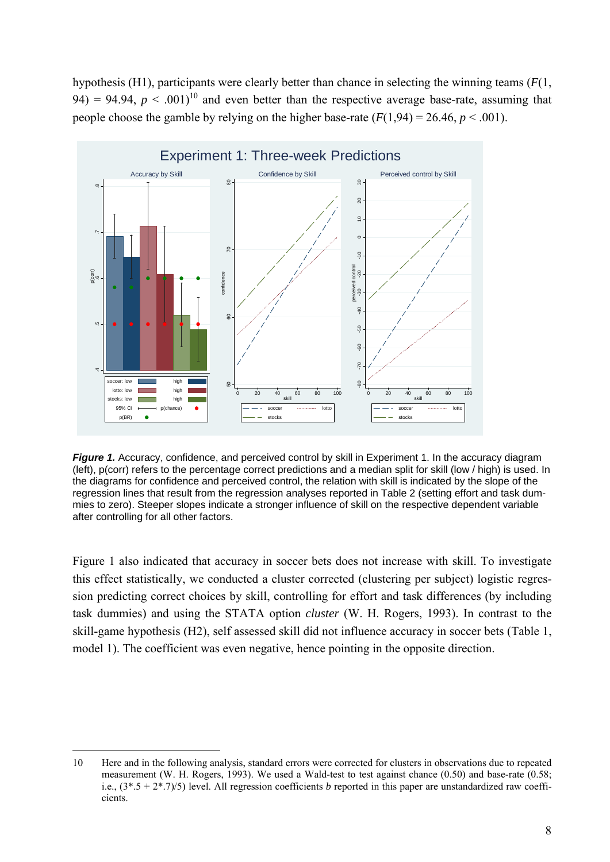hypothesis (H1), participants were clearly better than chance in selecting the winning teams (*F*(1, 94) = 94.94,  $p < .001$ <sup>10</sup> and even better than the respective average base-rate, assuming that people choose the gamble by relying on the higher base-rate  $(F(1,94) = 26.46, p \le 0.001)$ .



*Figure 1.* Accuracy, confidence, and perceived control by skill in Experiment 1. In the accuracy diagram (left), p(corr) refers to the percentage correct predictions and a median split for skill (low / high) is used. In the diagrams for confidence and perceived control, the relation with skill is indicated by the slope of the regression lines that result from the regression analyses reported in Table 2 (setting effort and task dummies to zero). Steeper slopes indicate a stronger influence of skill on the respective dependent variable after controlling for all other factors.

Figure 1 also indicated that accuracy in soccer bets does not increase with skill. To investigate this effect statistically, we conducted a cluster corrected (clustering per subject) logistic regression predicting correct choices by skill, controlling for effort and task differences (by including task dummies) and using the STATA option *cluster* (W. H. Rogers, 1993). In contrast to the skill-game hypothesis (H2), self assessed skill did not influence accuracy in soccer bets (Table 1, model 1). The coefficient was even negative, hence pointing in the opposite direction.

-

<sup>10</sup> Here and in the following analysis, standard errors were corrected for clusters in observations due to repeated measurement (W. H. Rogers, 1993). We used a Wald-test to test against chance (0.50) and base-rate (0.58; i.e.,  $(3*.5 + 2*.7)/5$  level. All regression coefficients *b* reported in this paper are unstandardized raw coefficients.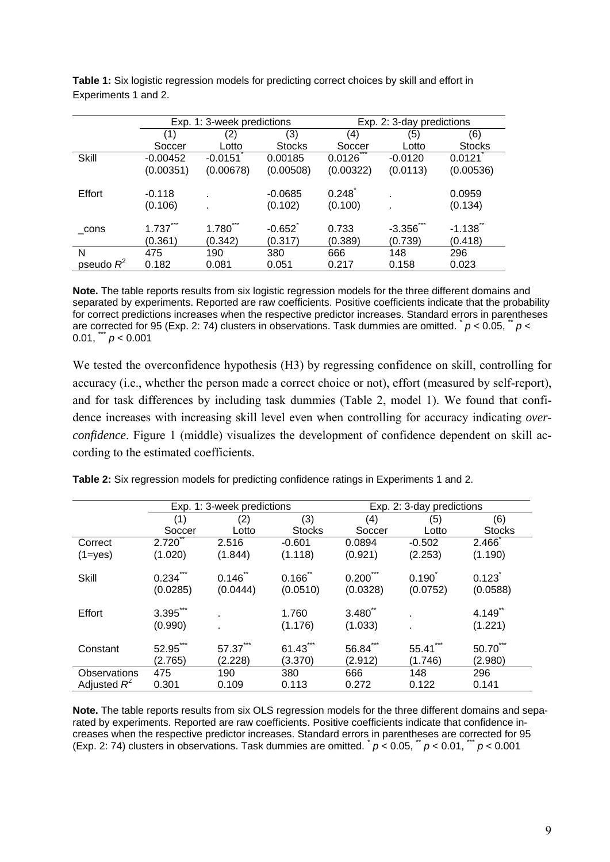|              | Exp. 1: 3-week predictions |              |               | Exp. 2: 3-day predictions |           |               |
|--------------|----------------------------|--------------|---------------|---------------------------|-----------|---------------|
|              | (1)                        | (2)          | (3)           | (4)                       | (5)       | (6)           |
|              | Soccer                     | Lotto        | <b>Stocks</b> | Soccer                    | Lotto     | <b>Stocks</b> |
| Skill        | $-0.00452$                 | $-0.0151$    | 0.00185       | 0.0126                    | $-0.0120$ | 0.0121        |
|              | (0.00351)                  | (0.00678)    | (0.00508)     | (0.00322)                 | (0.0113)  | (0.00536)     |
|              |                            |              |               |                           |           |               |
| Effort       | $-0.118$                   |              | $-0.0685$     | 0.248                     |           | 0.0959        |
|              | (0.106)                    |              | (0.102)       | (0.100)                   |           | (0.134)       |
|              |                            |              |               |                           |           |               |
| cons         | $1.737$ <sup>**</sup>      | $1.780^{11}$ | $-0.652$      | 0.733                     | $-3.356$  | $-1.138$      |
|              | (0.361)                    | (0.342)      | (0.317)       | (0.389)                   | (0.739)   | (0.418)       |
| N            | 475                        | 190          | 380           | 666                       | 148       | 296           |
| pseudo $R^2$ | 0.182                      | 0.081        | 0.051         | 0.217                     | 0.158     | 0.023         |

**Table 1:** Six logistic regression models for predicting correct choices by skill and effort in Experiments 1 and 2.

**Note.** The table reports results from six logistic regression models for the three different domains and separated by experiments. Reported are raw coefficients. Positive coefficients indicate that the probability for correct predictions increases when the respective predictor increases. Standard errors in parentheses are corrected for 95 (Exp. 2: 74) clusters in observations. Task dummies are omitted.  $p < 0.05$ ,  $p <$ 0.01,  $p < 0.001$ 

We tested the overconfidence hypothesis (H3) by regressing confidence on skill, controlling for accuracy (i.e., whether the person made a correct choice or not), effort (measured by self-report), and for task differences by including task dummies (Table 2, model 1). We found that confidence increases with increasing skill level even when controlling for accuracy indicating *overconfidence*. Figure 1 (middle) visualizes the development of confidence dependent on skill according to the estimated coefficients.

|                | Exp. 1: 3-week predictions       |                   |                               | Exp. 2: 3-day predictions     |                   |                                 |
|----------------|----------------------------------|-------------------|-------------------------------|-------------------------------|-------------------|---------------------------------|
|                | (1)                              | (2)               | (3)                           | (4)                           | (5)               | (6)                             |
|                | Soccer                           | Lotto             | <b>Stocks</b>                 | Soccer                        | Lotto             | <b>Stocks</b>                   |
| Correct        | 2.720                            | 2.516             | $-0.601$                      | 0.0894                        | $-0.502$          | 2.466                           |
| $(1 = yes)$    | (1.020)                          | (1.844)           | (1.118)                       | (0.921)                       | (2.253)           | (1.190)                         |
| <b>Skill</b>   | 0.234<br>(0.0285)                | 0.146<br>(0.0444) | $0.166^{\degree}$<br>(0.0510) | $0.200^{\degree}$<br>(0.0328) | 0.190<br>(0.0752) | 0.123<br>(0.0588)               |
| Effort         | $3.395$ <sup>**</sup><br>(0.990) |                   | 1.760<br>(1.176)              | $3.480^{^{n}}$<br>(1.033)     |                   | $4.149$ <sup>*</sup><br>(1.221) |
| Constant       | 52.95"<br>(2.765)                | 57.37<br>(2.228)  | 61.43<br>(3.370)              | 56.84<br>(2.912)              | 55.41<br>(1.746)  | $50.70^{''}$<br>(2.980)         |
| Observations   | 475                              | 190               | 380                           | 666                           | 148               | 296                             |
| Adjusted $R^2$ | 0.301                            | 0.109             | 0.113                         | 0.272                         | 0.122             | 0.141                           |

**Table 2:** Six regression models for predicting confidence ratings in Experiments 1 and 2.

**Note.** The table reports results from six OLS regression models for the three different domains and separated by experiments. Reported are raw coefficients. Positive coefficients indicate that confidence increases when the respective predictor increases. Standard errors in parentheses are corrected for 95 (Exp. 2: 74) clusters in observations. Task dummies are omitted.  $p < 0.05$ ,  $p < 0.01$ ,  $p < 0.001$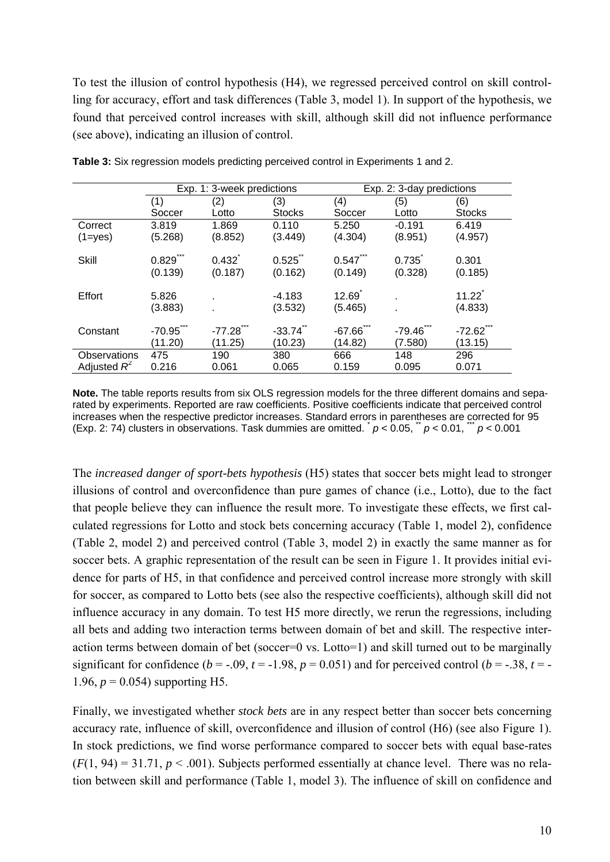To test the illusion of control hypothesis (H4), we regressed perceived control on skill controlling for accuracy, effort and task differences (Table 3, model 1). In support of the hypothesis, we found that perceived control increases with skill, although skill did not influence performance (see above), indicating an illusion of control.

|                | Exp. 1: 3-week predictions       |                        |                     | Exp. 2: 3-day predictions |                     |                                  |
|----------------|----------------------------------|------------------------|---------------------|---------------------------|---------------------|----------------------------------|
|                | (1)                              | (2)                    | (3)                 | (4)                       | (5)                 | (6)                              |
|                | Soccer                           | Lotto                  | <b>Stocks</b>       | Soccer                    | Lotto               | <b>Stocks</b>                    |
| Correct        | 3.819                            | 1.869                  | 0.110               | 5.250                     | $-0.191$            | 6.419                            |
| $(1 = yes)$    | (5.268)                          | (8.852)                | (3.449)             | (4.304)                   | (8.951)             | (4.957)                          |
| <b>Skill</b>   | $0.829$ ***<br>(0.139)           | $0.432^{1}$<br>(0.187) | 0.525<br>(0.162)    | 0.547<br>(0.149)          | 0.735<br>(0.328)    | 0.301<br>(0.185)                 |
| Effort         | 5.826<br>(3.883)                 |                        | $-4.183$<br>(3.532) | 12.69<br>(5.465)          |                     | $11.22^{^{\circ}}$<br>(4.833)    |
| Constant       | $-70.95$ <sup>*</sup><br>(11.20) | $-77.28$<br>(11.25)    | $-33.74$<br>(10.23) | $-67.66$<br>(14.82)       | $-79.46$<br>(7.580) | $-72.62$ <sup>"</sup><br>(13.15) |
| Observations   | 475                              | 190                    | 380                 | 666                       | 148                 | 296                              |
| Adjusted $R^2$ | 0.216                            | 0.061                  | 0.065               | 0.159                     | 0.095               | 0.071                            |

**Table 3:** Six regression models predicting perceived control in Experiments 1 and 2.

**Note.** The table reports results from six OLS regression models for the three different domains and separated by experiments. Reported are raw coefficients. Positive coefficients indicate that perceived control increases when the respective predictor increases. Standard errors in parentheses are corrected for 95 (Exp. 2: 74) clusters in observations. Task dummies are omitted.  $p < 0.05$ ,  $p < 0.01$ ,  $p < 0.001$ 

The *increased danger of sport-bets hypothesis* (H5) states that soccer bets might lead to stronger illusions of control and overconfidence than pure games of chance (i.e., Lotto), due to the fact that people believe they can influence the result more. To investigate these effects, we first calculated regressions for Lotto and stock bets concerning accuracy (Table 1, model 2), confidence (Table 2, model 2) and perceived control (Table 3, model 2) in exactly the same manner as for soccer bets. A graphic representation of the result can be seen in Figure 1. It provides initial evidence for parts of H5, in that confidence and perceived control increase more strongly with skill for soccer, as compared to Lotto bets (see also the respective coefficients), although skill did not influence accuracy in any domain. To test H5 more directly, we rerun the regressions, including all bets and adding two interaction terms between domain of bet and skill. The respective interaction terms between domain of bet (soccer=0 vs. Lotto=1) and skill turned out to be marginally significant for confidence  $(b = -0.09, t = -1.98, p = 0.051)$  and for perceived control  $(b = -0.38, t = -1.98, t = -1.98, p = 0.051)$ 1.96,  $p = 0.054$ ) supporting H5.

Finally, we investigated whether *stock bets* are in any respect better than soccer bets concerning accuracy rate, influence of skill, overconfidence and illusion of control (H6) (see also Figure 1). In stock predictions, we find worse performance compared to soccer bets with equal base-rates  $(F(1, 94) = 31.71, p < .001)$ . Subjects performed essentially at chance level. There was no relation between skill and performance (Table 1, model 3). The influence of skill on confidence and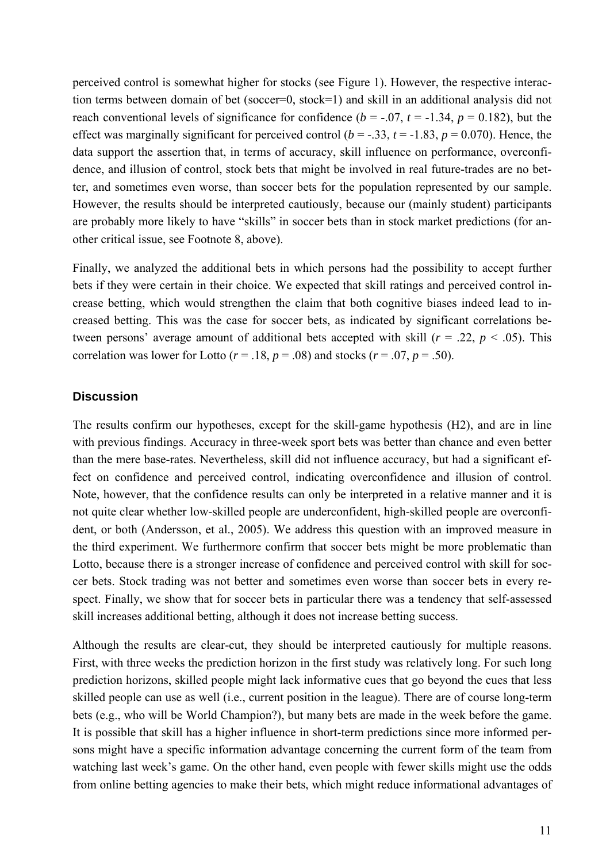perceived control is somewhat higher for stocks (see Figure 1). However, the respective interaction terms between domain of bet (soccer=0, stock=1) and skill in an additional analysis did not reach conventional levels of significance for confidence ( $b = -0.07$ ,  $t = -1.34$ ,  $p = 0.182$ ), but the effect was marginally significant for perceived control ( $b = -.33$ ,  $t = -1.83$ ,  $p = 0.070$ ). Hence, the data support the assertion that, in terms of accuracy, skill influence on performance, overconfidence, and illusion of control, stock bets that might be involved in real future-trades are no better, and sometimes even worse, than soccer bets for the population represented by our sample. However, the results should be interpreted cautiously, because our (mainly student) participants are probably more likely to have "skills" in soccer bets than in stock market predictions (for another critical issue, see Footnote 8, above).

Finally, we analyzed the additional bets in which persons had the possibility to accept further bets if they were certain in their choice. We expected that skill ratings and perceived control increase betting, which would strengthen the claim that both cognitive biases indeed lead to increased betting. This was the case for soccer bets, as indicated by significant correlations between persons' average amount of additional bets accepted with skill  $(r = .22, p < .05)$ . This correlation was lower for Lotto ( $r = .18$ ,  $p = .08$ ) and stocks ( $r = .07$ ,  $p = .50$ ).

#### **Discussion**

The results confirm our hypotheses, except for the skill-game hypothesis (H2), and are in line with previous findings. Accuracy in three-week sport bets was better than chance and even better than the mere base-rates. Nevertheless, skill did not influence accuracy, but had a significant effect on confidence and perceived control, indicating overconfidence and illusion of control. Note, however, that the confidence results can only be interpreted in a relative manner and it is not quite clear whether low-skilled people are underconfident, high-skilled people are overconfident, or both (Andersson, et al., 2005). We address this question with an improved measure in the third experiment. We furthermore confirm that soccer bets might be more problematic than Lotto, because there is a stronger increase of confidence and perceived control with skill for soccer bets. Stock trading was not better and sometimes even worse than soccer bets in every respect. Finally, we show that for soccer bets in particular there was a tendency that self-assessed skill increases additional betting, although it does not increase betting success.

Although the results are clear-cut, they should be interpreted cautiously for multiple reasons. First, with three weeks the prediction horizon in the first study was relatively long. For such long prediction horizons, skilled people might lack informative cues that go beyond the cues that less skilled people can use as well (i.e., current position in the league). There are of course long-term bets (e.g., who will be World Champion?), but many bets are made in the week before the game. It is possible that skill has a higher influence in short-term predictions since more informed persons might have a specific information advantage concerning the current form of the team from watching last week's game. On the other hand, even people with fewer skills might use the odds from online betting agencies to make their bets, which might reduce informational advantages of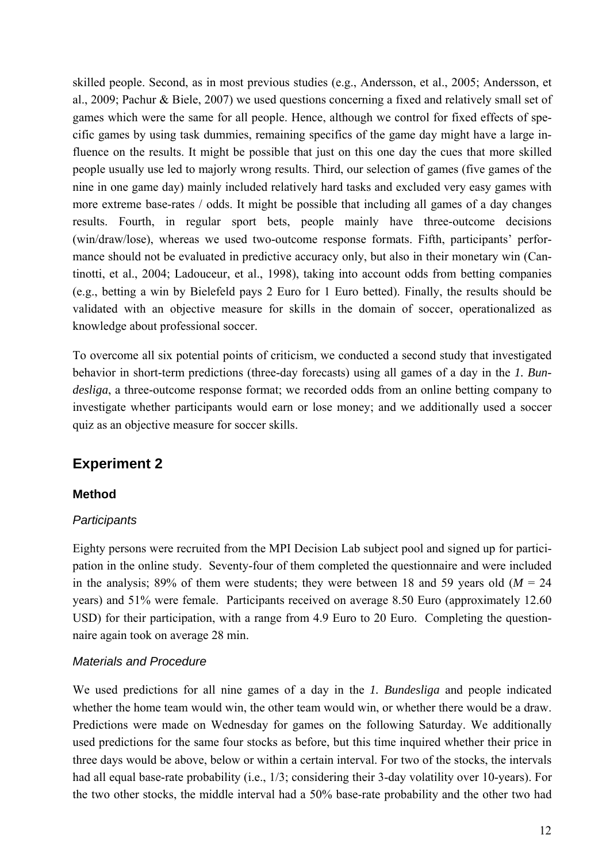skilled people. Second, as in most previous studies (e.g., Andersson, et al., 2005; Andersson, et al., 2009; Pachur & Biele, 2007) we used questions concerning a fixed and relatively small set of games which were the same for all people. Hence, although we control for fixed effects of specific games by using task dummies, remaining specifics of the game day might have a large influence on the results. It might be possible that just on this one day the cues that more skilled people usually use led to majorly wrong results. Third, our selection of games (five games of the nine in one game day) mainly included relatively hard tasks and excluded very easy games with more extreme base-rates / odds. It might be possible that including all games of a day changes results. Fourth, in regular sport bets, people mainly have three-outcome decisions (win/draw/lose), whereas we used two-outcome response formats. Fifth, participants' performance should not be evaluated in predictive accuracy only, but also in their monetary win (Cantinotti, et al., 2004; Ladouceur, et al., 1998), taking into account odds from betting companies (e.g., betting a win by Bielefeld pays 2 Euro for 1 Euro betted). Finally, the results should be validated with an objective measure for skills in the domain of soccer, operationalized as knowledge about professional soccer.

To overcome all six potential points of criticism, we conducted a second study that investigated behavior in short-term predictions (three-day forecasts) using all games of a day in the *1. Bundesliga*, a three-outcome response format; we recorded odds from an online betting company to investigate whether participants would earn or lose money; and we additionally used a soccer quiz as an objective measure for soccer skills.

## **Experiment 2**

#### **Method**

#### *Participants*

Eighty persons were recruited from the MPI Decision Lab subject pool and signed up for participation in the online study. Seventy-four of them completed the questionnaire and were included in the analysis; 89% of them were students; they were between 18 and 59 years old  $(M = 24)$ years) and 51% were female. Participants received on average 8.50 Euro (approximately 12.60 USD) for their participation, with a range from 4.9 Euro to 20 Euro. Completing the questionnaire again took on average 28 min.

#### *Materials and Procedure*

We used predictions for all nine games of a day in the *1. Bundesliga* and people indicated whether the home team would win, the other team would win, or whether there would be a draw. Predictions were made on Wednesday for games on the following Saturday. We additionally used predictions for the same four stocks as before, but this time inquired whether their price in three days would be above, below or within a certain interval. For two of the stocks, the intervals had all equal base-rate probability (i.e., 1/3; considering their 3-day volatility over 10-years). For the two other stocks, the middle interval had a 50% base-rate probability and the other two had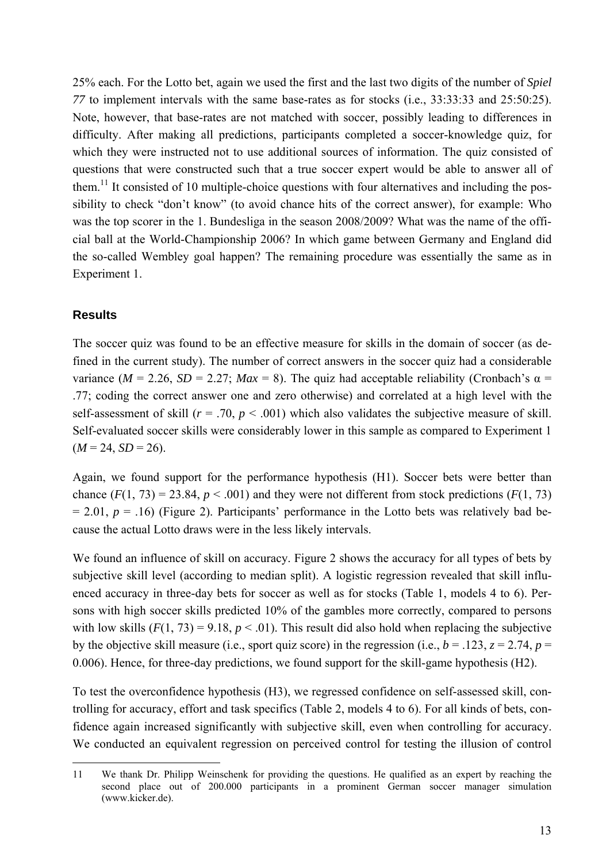25% each. For the Lotto bet, again we used the first and the last two digits of the number of *Spiel 77* to implement intervals with the same base-rates as for stocks (i.e., 33:33:33 and 25:50:25). Note, however, that base-rates are not matched with soccer, possibly leading to differences in difficulty. After making all predictions, participants completed a soccer-knowledge quiz, for which they were instructed not to use additional sources of information. The quiz consisted of questions that were constructed such that a true soccer expert would be able to answer all of them.<sup>11</sup> It consisted of 10 multiple-choice questions with four alternatives and including the possibility to check "don't know" (to avoid chance hits of the correct answer), for example: Who was the top scorer in the 1. Bundesliga in the season 2008/2009? What was the name of the official ball at the World-Championship 2006? In which game between Germany and England did the so-called Wembley goal happen? The remaining procedure was essentially the same as in Experiment 1.

#### **Results**

-

The soccer quiz was found to be an effective measure for skills in the domain of soccer (as defined in the current study). The number of correct answers in the soccer quiz had a considerable variance ( $M = 2.26$ ,  $SD = 2.27$ ;  $Max = 8$ ). The quiz had acceptable reliability (Cronbach's  $\alpha =$ .77; coding the correct answer one and zero otherwise) and correlated at a high level with the self-assessment of skill  $(r = .70, p < .001)$  which also validates the subjective measure of skill. Self-evaluated soccer skills were considerably lower in this sample as compared to Experiment 1  $(M = 24, SD = 26)$ .

Again, we found support for the performance hypothesis (H1). Soccer bets were better than chance  $(F(1, 73) = 23.84, p < .001)$  and they were not different from stock predictions  $(F(1, 73))$  $= 2.01, p = .16$ ) (Figure 2). Participants' performance in the Lotto bets was relatively bad because the actual Lotto draws were in the less likely intervals.

We found an influence of skill on accuracy. Figure 2 shows the accuracy for all types of bets by subjective skill level (according to median split). A logistic regression revealed that skill influenced accuracy in three-day bets for soccer as well as for stocks (Table 1, models 4 to 6). Persons with high soccer skills predicted 10% of the gambles more correctly, compared to persons with low skills  $(F(1, 73) = 9.18, p < .01)$ . This result did also hold when replacing the subjective by the objective skill measure (i.e., sport quiz score) in the regression (i.e.,  $b = .123$ ,  $z = 2.74$ ,  $p =$ 0.006). Hence, for three-day predictions, we found support for the skill-game hypothesis (H2).

To test the overconfidence hypothesis (H3), we regressed confidence on self-assessed skill, controlling for accuracy, effort and task specifics (Table 2, models 4 to 6). For all kinds of bets, confidence again increased significantly with subjective skill, even when controlling for accuracy. We conducted an equivalent regression on perceived control for testing the illusion of control

<sup>11</sup> We thank Dr. Philipp Weinschenk for providing the questions. He qualified as an expert by reaching the second place out of 200.000 participants in a prominent German soccer manager simulation (www.kicker.de).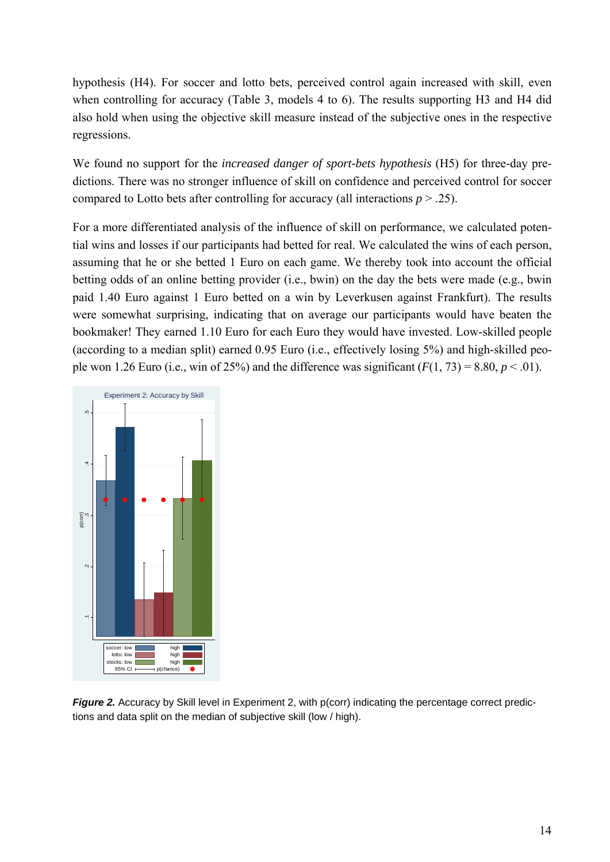hypothesis (H4). For soccer and lotto bets, perceived control again increased with skill, even when controlling for accuracy (Table 3, models 4 to 6). The results supporting H3 and H4 did also hold when using the objective skill measure instead of the subjective ones in the respective regressions.

We found no support for the *increased danger of sport-bets hypothesis* (H5) for three-day predictions. There was no stronger influence of skill on confidence and perceived control for soccer compared to Lotto bets after controlling for accuracy (all interactions  $p > .25$ ).

For a more differentiated analysis of the influence of skill on performance, we calculated potential wins and losses if our participants had betted for real. We calculated the wins of each person, assuming that he or she betted 1 Euro on each game. We thereby took into account the official betting odds of an online betting provider (i.e., bwin) on the day the bets were made (e.g., bwin paid 1.40 Euro against 1 Euro betted on a win by Leverkusen against Frankfurt). The results were somewhat surprising, indicating that on average our participants would have beaten the bookmaker! They earned 1.10 Euro for each Euro they would have invested. Low-skilled people (according to a median split) earned 0.95 Euro (i.e., effectively losing 5%) and high-skilled people won 1.26 Euro (i.e., win of 25%) and the difference was significant  $(F(1, 73) = 8.80, p < .01)$ .



*Figure 2.* Accuracy by Skill level in Experiment 2, with p(corr) indicating the percentage correct predic-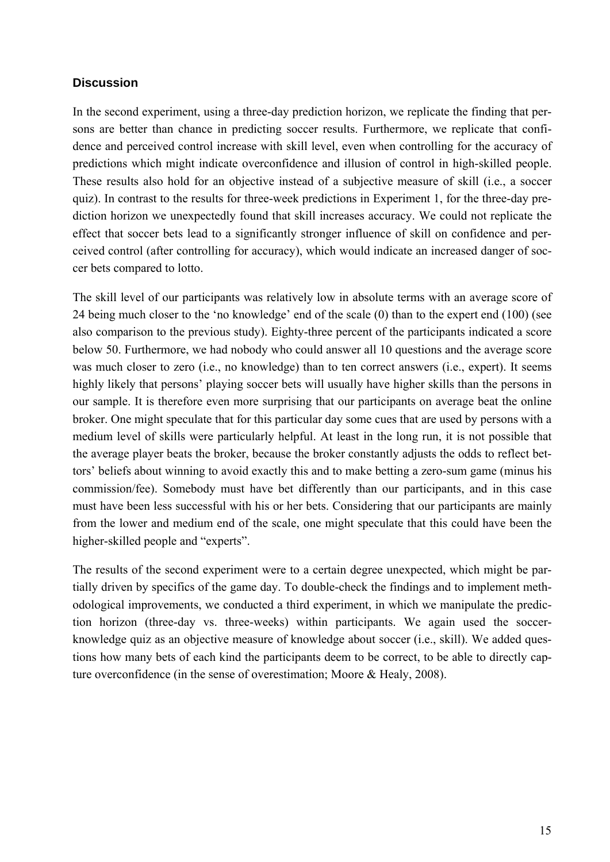#### **Discussion**

In the second experiment, using a three-day prediction horizon, we replicate the finding that persons are better than chance in predicting soccer results. Furthermore, we replicate that confidence and perceived control increase with skill level, even when controlling for the accuracy of predictions which might indicate overconfidence and illusion of control in high-skilled people. These results also hold for an objective instead of a subjective measure of skill (i.e., a soccer quiz). In contrast to the results for three-week predictions in Experiment 1, for the three-day prediction horizon we unexpectedly found that skill increases accuracy. We could not replicate the effect that soccer bets lead to a significantly stronger influence of skill on confidence and perceived control (after controlling for accuracy), which would indicate an increased danger of soccer bets compared to lotto.

The skill level of our participants was relatively low in absolute terms with an average score of 24 being much closer to the 'no knowledge' end of the scale (0) than to the expert end (100) (see also comparison to the previous study). Eighty-three percent of the participants indicated a score below 50. Furthermore, we had nobody who could answer all 10 questions and the average score was much closer to zero (i.e., no knowledge) than to ten correct answers (i.e., expert). It seems highly likely that persons' playing soccer bets will usually have higher skills than the persons in our sample. It is therefore even more surprising that our participants on average beat the online broker. One might speculate that for this particular day some cues that are used by persons with a medium level of skills were particularly helpful. At least in the long run, it is not possible that the average player beats the broker, because the broker constantly adjusts the odds to reflect bettors' beliefs about winning to avoid exactly this and to make betting a zero-sum game (minus his commission/fee). Somebody must have bet differently than our participants, and in this case must have been less successful with his or her bets. Considering that our participants are mainly from the lower and medium end of the scale, one might speculate that this could have been the higher-skilled people and "experts".

The results of the second experiment were to a certain degree unexpected, which might be partially driven by specifics of the game day. To double-check the findings and to implement methodological improvements, we conducted a third experiment, in which we manipulate the prediction horizon (three-day vs. three-weeks) within participants. We again used the soccerknowledge quiz as an objective measure of knowledge about soccer (i.e., skill). We added questions how many bets of each kind the participants deem to be correct, to be able to directly capture overconfidence (in the sense of overestimation; Moore & Healy, 2008).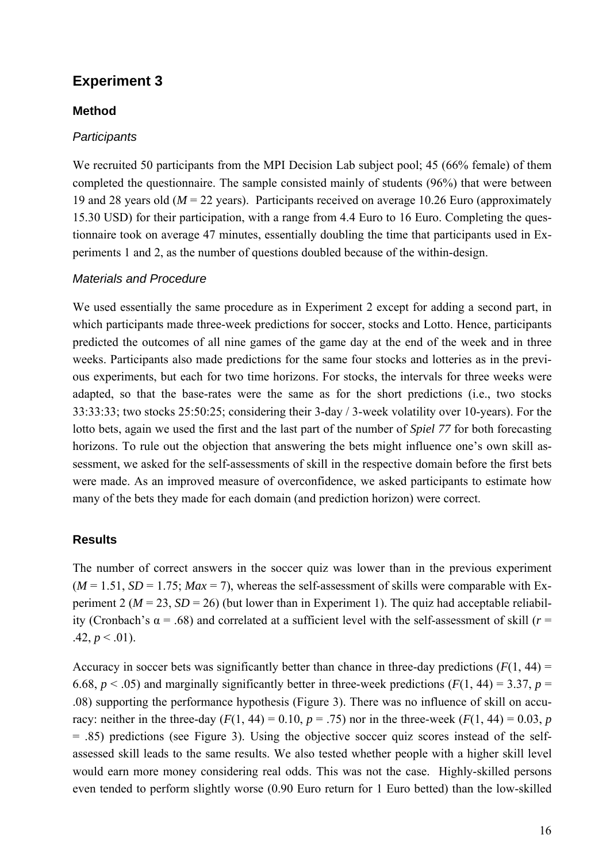## **Experiment 3**

#### **Method**

#### *Participants*

We recruited 50 participants from the MPI Decision Lab subject pool; 45 (66% female) of them completed the questionnaire. The sample consisted mainly of students (96%) that were between 19 and 28 years old (*M* = 22 years). Participants received on average 10.26 Euro (approximately 15.30 USD) for their participation, with a range from 4.4 Euro to 16 Euro. Completing the questionnaire took on average 47 minutes, essentially doubling the time that participants used in Experiments 1 and 2, as the number of questions doubled because of the within-design.

#### *Materials and Procedure*

We used essentially the same procedure as in Experiment 2 except for adding a second part, in which participants made three-week predictions for soccer, stocks and Lotto. Hence, participants predicted the outcomes of all nine games of the game day at the end of the week and in three weeks. Participants also made predictions for the same four stocks and lotteries as in the previous experiments, but each for two time horizons. For stocks, the intervals for three weeks were adapted, so that the base-rates were the same as for the short predictions (i.e., two stocks 33:33:33; two stocks 25:50:25; considering their 3-day / 3-week volatility over 10-years). For the lotto bets, again we used the first and the last part of the number of *Spiel 77* for both forecasting horizons. To rule out the objection that answering the bets might influence one's own skill assessment, we asked for the self-assessments of skill in the respective domain before the first bets were made. As an improved measure of overconfidence, we asked participants to estimate how many of the bets they made for each domain (and prediction horizon) were correct.

#### **Results**

The number of correct answers in the soccer quiz was lower than in the previous experiment  $(M = 1.51, SD = 1.75; Max = 7)$ , whereas the self-assessment of skills were comparable with Experiment 2 ( $M = 23$ ,  $SD = 26$ ) (but lower than in Experiment 1). The quiz had acceptable reliability (Cronbach's  $\alpha$  = .68) and correlated at a sufficient level with the self-assessment of skill ( $r$  =  $.42, p \leq .01$ ).

Accuracy in soccer bets was significantly better than chance in three-day predictions  $(F(1, 44) =$ 6.68,  $p < .05$ ) and marginally significantly better in three-week predictions ( $F(1, 44) = 3.37$ ,  $p =$ .08) supporting the performance hypothesis (Figure 3). There was no influence of skill on accuracy: neither in the three-day ( $F(1, 44) = 0.10$ ,  $p = .75$ ) nor in the three-week ( $F(1, 44) = 0.03$ ,  $p = .75$ ) = .85) predictions (see Figure 3). Using the objective soccer quiz scores instead of the selfassessed skill leads to the same results. We also tested whether people with a higher skill level would earn more money considering real odds. This was not the case. Highly-skilled persons even tended to perform slightly worse (0.90 Euro return for 1 Euro betted) than the low-skilled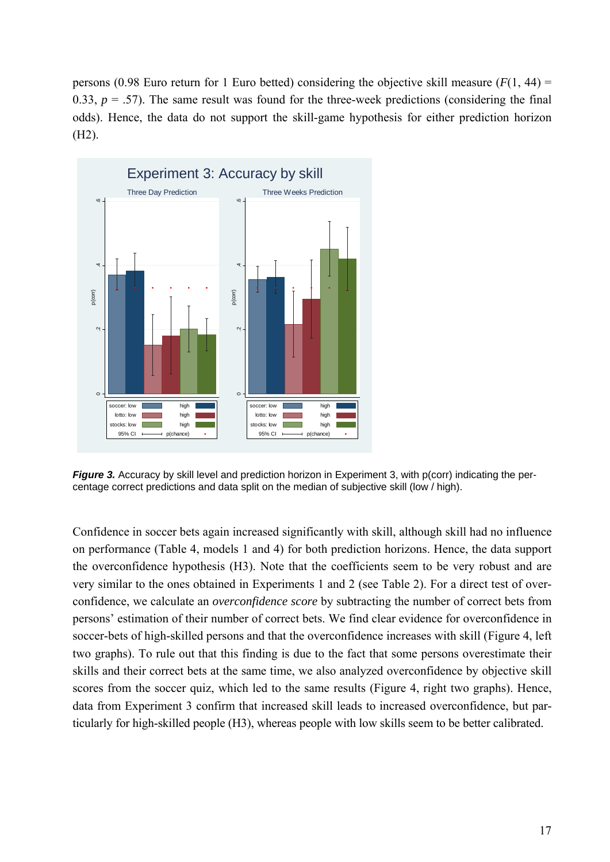persons (0.98 Euro return for 1 Euro betted) considering the objective skill measure  $(F(1, 44) =$ 0.33,  $p = .57$ ). The same result was found for the three-week predictions (considering the final odds). Hence, the data do not support the skill-game hypothesis for either prediction horizon (H2).



Figure 3. Accuracy by skill level and prediction horizon in Experiment 3, with p(corr) indicating the percentage correct predictions and data split on the median of subjective skill (low / high).

Confidence in soccer bets again increased significantly with skill, although skill had no influence on performance (Table 4, models 1 and 4) for both prediction horizons. Hence, the data support the overconfidence hypothesis (H3). Note that the coefficients seem to be very robust and are very similar to the ones obtained in Experiments 1 and 2 (see Table 2). For a direct test of overconfidence, we calculate an *overconfidence score* by subtracting the number of correct bets from persons' estimation of their number of correct bets. We find clear evidence for overconfidence in soccer-bets of high-skilled persons and that the overconfidence increases with skill (Figure 4, left two graphs). To rule out that this finding is due to the fact that some persons overestimate their skills and their correct bets at the same time, we also analyzed overconfidence by objective skill scores from the soccer quiz, which led to the same results (Figure 4, right two graphs). Hence, data from Experiment 3 confirm that increased skill leads to increased overconfidence, but particularly for high-skilled people (H3), whereas people with low skills seem to be better calibrated.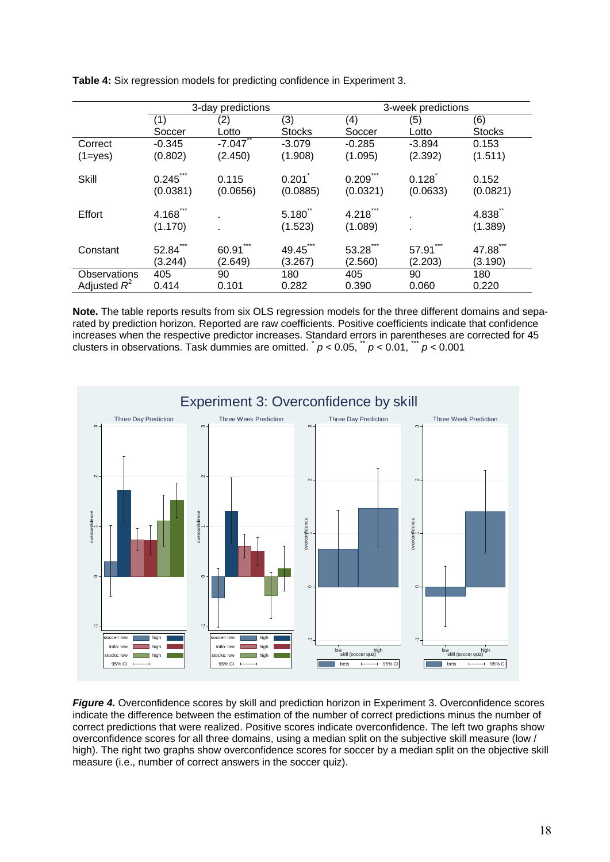|                | 3-day predictions       |                   |                               | 3-week predictions              |                   |                   |
|----------------|-------------------------|-------------------|-------------------------------|---------------------------------|-------------------|-------------------|
|                | (1)                     | (2)               | (3)                           | (4)                             | (5)               | (6)               |
|                | Soccer                  | Lotto             | <b>Stocks</b>                 | Soccer                          | Lotto             | <b>Stocks</b>     |
| Correct        | $-0.345$                | $-7.047$          | $-3.079$                      | $-0.285$                        | $-3.894$          | 0.153             |
| $(1 = yes)$    | (0.802)                 | (2.450)           | (1.908)                       | (1.095)                         | (2.392)           | (1.511)           |
| <b>Skill</b>   | $0.245$ ***<br>(0.0381) | 0.115<br>(0.0656) | 0.201<br>(0.0885)             | 0.209<br>(0.0321)               | 0.128<br>(0.0633) | 0.152<br>(0.0821) |
| Effort         | 4.168<br>(1.170)        |                   | $5.180^{^{\circ}}$<br>(1.523) | $4.218$ <sup>*</sup><br>(1.089) |                   | 4.838<br>(1.389)  |
| Constant       | 52.84<br>(3.244)        | 60.91<br>(2.649)  | 49.45<br>(3.267)              | 53.28<br>(2.560)                | 57.91<br>(2.203)  | 47.88<br>(3.190)  |
| Observations   | 405                     | 90                | 180                           | 405                             | 90                | 180               |
| Adjusted $R^2$ | 0.414                   | 0.101             | 0.282                         | 0.390                           | 0.060             | 0.220             |

**Table 4:** Six regression models for predicting confidence in Experiment 3.

**Note.** The table reports results from six OLS regression models for the three different domains and separated by prediction horizon. Reported are raw coefficients. Positive coefficients indicate that confidence increases when the respective predictor increases. Standard errors in parentheses are corrected for 45 clusters in observations. Task dummies are omitted.  $\mu$  < 0.05,  $\mu$   $\mu$  < 0.01,  $\mu$   $\mu$  < 0.001



*Figure 4.* Overconfidence scores by skill and prediction horizon in Experiment 3. Overconfidence scores indicate the difference between the estimation of the number of correct predictions minus the number of correct predictions that were realized. Positive scores indicate overconfidence. The left two graphs show overconfidence scores for all three domains, using a median split on the subjective skill measure (low / high). The right two graphs show overconfidence scores for soccer by a median split on the objective skill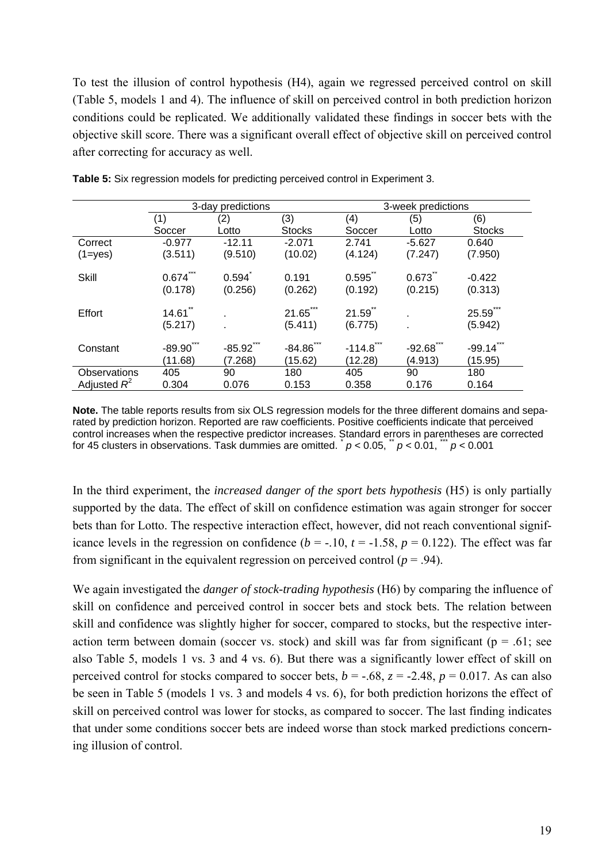To test the illusion of control hypothesis (H4), again we regressed perceived control on skill (Table 5, models 1 and 4). The influence of skill on perceived control in both prediction horizon conditions could be replicated. We additionally validated these findings in soccer bets with the objective skill score. There was a significant overall effect of objective skill on perceived control after correcting for accuracy as well.

|                | 3-day predictions            |                     |                              | 3-week predictions  |                     |                     |  |
|----------------|------------------------------|---------------------|------------------------------|---------------------|---------------------|---------------------|--|
|                | (1)                          | (2)                 | (3)                          | (4)                 | (5)                 | (6)                 |  |
|                | Soccer                       | Lotto               | <b>Stocks</b>                | Soccer              | Lotto               | <b>Stocks</b>       |  |
| Correct        | $-0.977$                     | $-12.11$            | $-2.071$                     | 2.741               | $-5.627$            | 0.640               |  |
| $(1 = yes)$    | (3.511)                      | (9.510)             | (10.02)                      | (4.124)             | (7.247)             | (7.950)             |  |
| Skill          | $0.674^{\degree}$<br>(0.178) | 0.594<br>(0.256)    | 0.191<br>(0.262)             | 0.595<br>(0.192)    | 0.673<br>(0.215)    | $-0.422$<br>(0.313) |  |
| Effort         | $14.61^{\degree}$<br>(5.217) |                     | $21.65^{\degree}$<br>(5.411) | 21.59<br>(6.775)    |                     | 25.59<br>(5.942)    |  |
| Constant       | $-89.90$<br>(11.68)          | $-85.92$<br>(7.268) | $-84.86$<br>(15.62)          | $-114.8$<br>(12.28) | $-92.68$<br>(4.913) | $-99.14$<br>(15.95) |  |
| Observations   | 405                          | 90                  | 180                          | 405                 | 90                  | 180                 |  |
| Adjusted $R^2$ | 0.304                        | 0.076               | 0.153                        | 0.358               | 0.176               | 0.164               |  |

**Table 5:** Six regression models for predicting perceived control in Experiment 3.

**Note.** The table reports results from six OLS regression models for the three different domains and separated by prediction horizon. Reported are raw coefficients. Positive coefficients indicate that perceived control increases when the respective predictor increases. Standard errors in parentheses are corrected for 45 clusters in observations. Task dummies are omitted.  $p < 0.05$ ,  $p < 0.01$ ,  $p < 0.001$ 

In the third experiment, the *increased danger of the sport bets hypothesis* (H5) is only partially supported by the data. The effect of skill on confidence estimation was again stronger for soccer bets than for Lotto. The respective interaction effect, however, did not reach conventional significance levels in the regression on confidence  $(b = -.10, t = -1.58, p = 0.122)$ . The effect was far from significant in the equivalent regression on perceived control ( $p = .94$ ).

We again investigated the *danger of stock-trading hypothesis* (H6) by comparing the influence of skill on confidence and perceived control in soccer bets and stock bets. The relation between skill and confidence was slightly higher for soccer, compared to stocks, but the respective interaction term between domain (soccer vs. stock) and skill was far from significant ( $p = .61$ ; see also Table 5, models 1 vs. 3 and 4 vs. 6). But there was a significantly lower effect of skill on perceived control for stocks compared to soccer bets,  $b = -.68$ ,  $z = -2.48$ ,  $p = 0.017$ . As can also be seen in Table 5 (models 1 vs. 3 and models 4 vs. 6), for both prediction horizons the effect of skill on perceived control was lower for stocks, as compared to soccer. The last finding indicates that under some conditions soccer bets are indeed worse than stock marked predictions concerning illusion of control.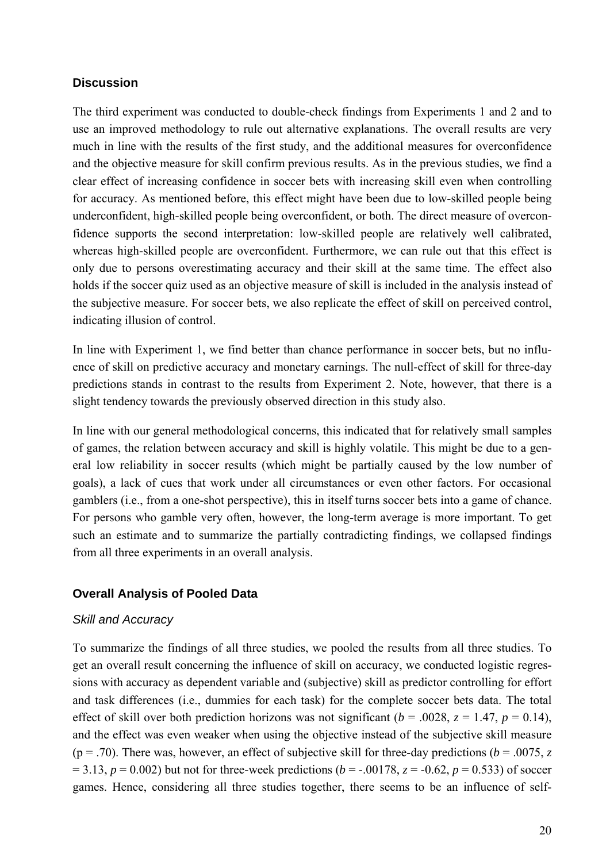#### **Discussion**

The third experiment was conducted to double-check findings from Experiments 1 and 2 and to use an improved methodology to rule out alternative explanations. The overall results are very much in line with the results of the first study, and the additional measures for overconfidence and the objective measure for skill confirm previous results. As in the previous studies, we find a clear effect of increasing confidence in soccer bets with increasing skill even when controlling for accuracy. As mentioned before, this effect might have been due to low-skilled people being underconfident, high-skilled people being overconfident, or both. The direct measure of overconfidence supports the second interpretation: low-skilled people are relatively well calibrated, whereas high-skilled people are overconfident. Furthermore, we can rule out that this effect is only due to persons overestimating accuracy and their skill at the same time. The effect also holds if the soccer quiz used as an objective measure of skill is included in the analysis instead of the subjective measure. For soccer bets, we also replicate the effect of skill on perceived control, indicating illusion of control.

In line with Experiment 1, we find better than chance performance in soccer bets, but no influence of skill on predictive accuracy and monetary earnings. The null-effect of skill for three-day predictions stands in contrast to the results from Experiment 2. Note, however, that there is a slight tendency towards the previously observed direction in this study also.

In line with our general methodological concerns, this indicated that for relatively small samples of games, the relation between accuracy and skill is highly volatile. This might be due to a general low reliability in soccer results (which might be partially caused by the low number of goals), a lack of cues that work under all circumstances or even other factors. For occasional gamblers (i.e., from a one-shot perspective), this in itself turns soccer bets into a game of chance. For persons who gamble very often, however, the long-term average is more important. To get such an estimate and to summarize the partially contradicting findings, we collapsed findings from all three experiments in an overall analysis.

#### **Overall Analysis of Pooled Data**

#### *Skill and Accuracy*

To summarize the findings of all three studies, we pooled the results from all three studies. To get an overall result concerning the influence of skill on accuracy, we conducted logistic regressions with accuracy as dependent variable and (subjective) skill as predictor controlling for effort and task differences (i.e., dummies for each task) for the complete soccer bets data. The total effect of skill over both prediction horizons was not significant ( $b = .0028$ ,  $z = 1.47$ ,  $p = 0.14$ ), and the effect was even weaker when using the objective instead of the subjective skill measure ( $p = .70$ ). There was, however, an effect of subjective skill for three-day predictions ( $b = .0075$ , z  $= 3.13, p = 0.002$ ) but not for three-week predictions (*b* = -.00178, *z* = -0.62, *p* = 0.533) of soccer games. Hence, considering all three studies together, there seems to be an influence of self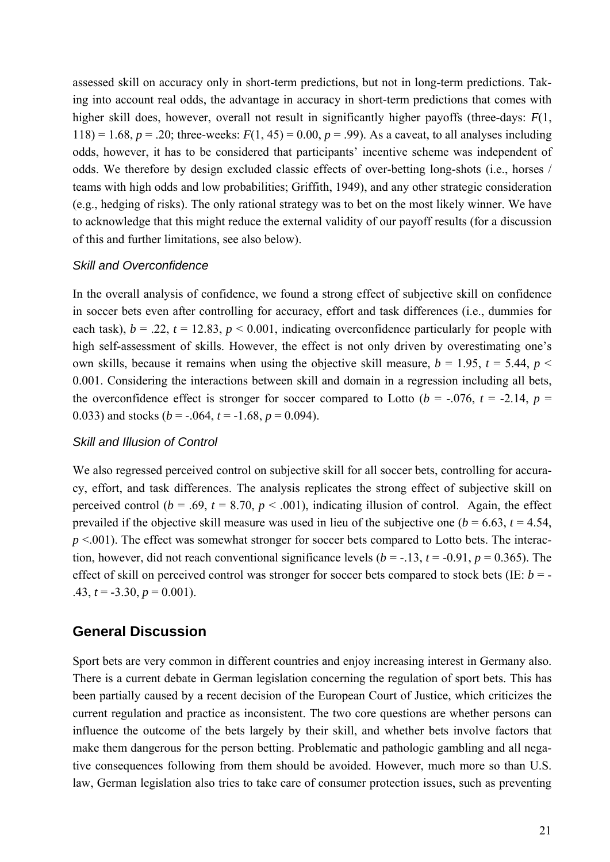assessed skill on accuracy only in short-term predictions, but not in long-term predictions. Taking into account real odds, the advantage in accuracy in short-term predictions that comes with higher skill does, however, overall not result in significantly higher payoffs (three-days: *F*(1, 118) = 1.68,  $p = 0.20$ ; three-weeks:  $F(1, 45) = 0.00$ ,  $p = 0.99$ ). As a caveat, to all analyses including odds, however, it has to be considered that participants' incentive scheme was independent of odds. We therefore by design excluded classic effects of over-betting long-shots (i.e., horses / teams with high odds and low probabilities; Griffith, 1949), and any other strategic consideration (e.g., hedging of risks). The only rational strategy was to bet on the most likely winner. We have to acknowledge that this might reduce the external validity of our payoff results (for a discussion of this and further limitations, see also below).

#### *Skill and Overconfidence*

In the overall analysis of confidence, we found a strong effect of subjective skill on confidence in soccer bets even after controlling for accuracy, effort and task differences (i.e., dummies for each task),  $b = .22$ ,  $t = 12.83$ ,  $p < 0.001$ , indicating overconfidence particularly for people with high self-assessment of skills. However, the effect is not only driven by overestimating one's own skills, because it remains when using the objective skill measure,  $b = 1.95$ ,  $t = 5.44$ ,  $p <$ 0.001. Considering the interactions between skill and domain in a regression including all bets, the overconfidence effect is stronger for soccer compared to Lotto ( $b = -0.076$ ,  $t = -2.14$ ,  $p =$ 0.033) and stocks ( $b = -.064$ ,  $t = -1.68$ ,  $p = 0.094$ ).

#### *Skill and Illusion of Control*

We also regressed perceived control on subjective skill for all soccer bets, controlling for accuracy, effort, and task differences. The analysis replicates the strong effect of subjective skill on perceived control ( $b = .69$ ,  $t = 8.70$ ,  $p < .001$ ), indicating illusion of control. Again, the effect prevailed if the objective skill measure was used in lieu of the subjective one ( $b = 6.63$ ,  $t = 4.54$ , *p* <.001). The effect was somewhat stronger for soccer bets compared to Lotto bets. The interaction, however, did not reach conventional significance levels  $(b = -13, t = -0.91, p = 0.365)$ . The effect of skill on perceived control was stronger for soccer bets compared to stock bets (IE: *b* = - .43,  $t = -3.30$ ,  $p = 0.001$ ).

## **General Discussion**

Sport bets are very common in different countries and enjoy increasing interest in Germany also. There is a current debate in German legislation concerning the regulation of sport bets. This has been partially caused by a recent decision of the European Court of Justice, which criticizes the current regulation and practice as inconsistent. The two core questions are whether persons can influence the outcome of the bets largely by their skill, and whether bets involve factors that make them dangerous for the person betting. Problematic and pathologic gambling and all negative consequences following from them should be avoided. However, much more so than U.S. law, German legislation also tries to take care of consumer protection issues, such as preventing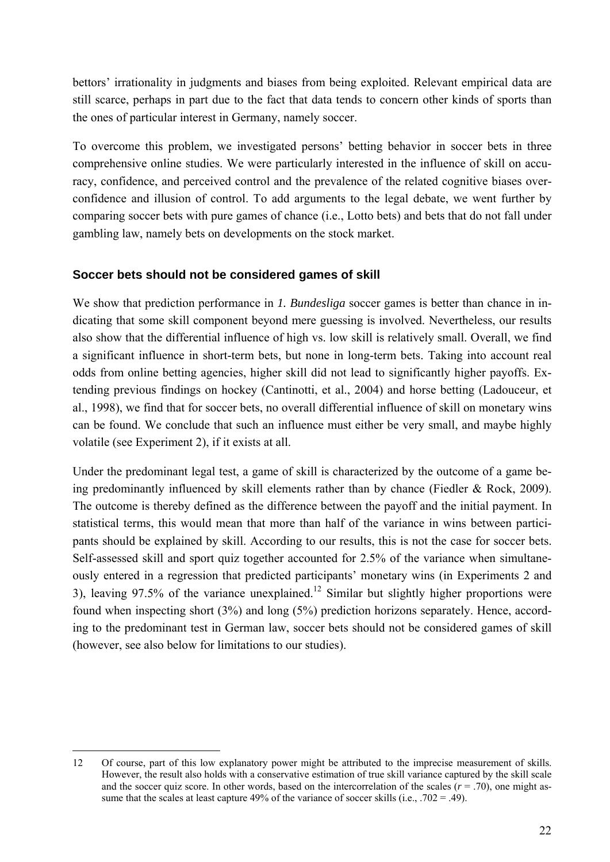bettors' irrationality in judgments and biases from being exploited. Relevant empirical data are still scarce, perhaps in part due to the fact that data tends to concern other kinds of sports than the ones of particular interest in Germany, namely soccer.

To overcome this problem, we investigated persons' betting behavior in soccer bets in three comprehensive online studies. We were particularly interested in the influence of skill on accuracy, confidence, and perceived control and the prevalence of the related cognitive biases overconfidence and illusion of control. To add arguments to the legal debate, we went further by comparing soccer bets with pure games of chance (i.e., Lotto bets) and bets that do not fall under gambling law, namely bets on developments on the stock market.

#### **Soccer bets should not be considered games of skill**

We show that prediction performance in *1. Bundesliga* soccer games is better than chance in indicating that some skill component beyond mere guessing is involved. Nevertheless, our results also show that the differential influence of high vs. low skill is relatively small. Overall, we find a significant influence in short-term bets, but none in long-term bets. Taking into account real odds from online betting agencies, higher skill did not lead to significantly higher payoffs. Extending previous findings on hockey (Cantinotti, et al., 2004) and horse betting (Ladouceur, et al., 1998), we find that for soccer bets, no overall differential influence of skill on monetary wins can be found. We conclude that such an influence must either be very small, and maybe highly volatile (see Experiment 2), if it exists at all.

Under the predominant legal test, a game of skill is characterized by the outcome of a game being predominantly influenced by skill elements rather than by chance (Fiedler & Rock, 2009). The outcome is thereby defined as the difference between the payoff and the initial payment. In statistical terms, this would mean that more than half of the variance in wins between participants should be explained by skill. According to our results, this is not the case for soccer bets. Self-assessed skill and sport quiz together accounted for 2.5% of the variance when simultaneously entered in a regression that predicted participants' monetary wins (in Experiments 2 and 3), leaving 97.5% of the variance unexplained.<sup>12</sup> Similar but slightly higher proportions were found when inspecting short (3%) and long (5%) prediction horizons separately. Hence, according to the predominant test in German law, soccer bets should not be considered games of skill (however, see also below for limitations to our studies).

-

<sup>12</sup> Of course, part of this low explanatory power might be attributed to the imprecise measurement of skills. However, the result also holds with a conservative estimation of true skill variance captured by the skill scale and the soccer quiz score. In other words, based on the intercorrelation of the scales  $(r = .70)$ , one might assume that the scales at least capture 49% of the variance of soccer skills (i.e.,  $.702 = .49$ ).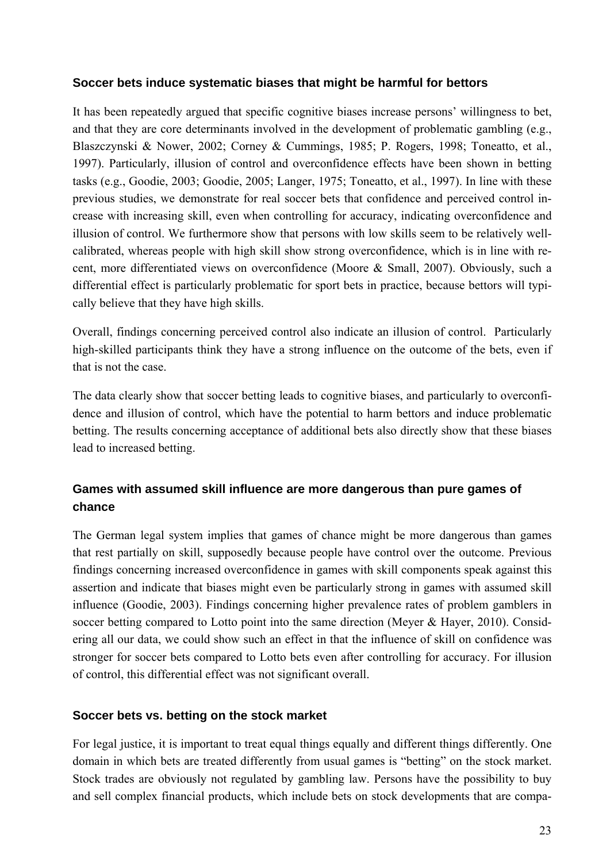#### **Soccer bets induce systematic biases that might be harmful for bettors**

It has been repeatedly argued that specific cognitive biases increase persons' willingness to bet, and that they are core determinants involved in the development of problematic gambling (e.g., Blaszczynski & Nower, 2002; Corney & Cummings, 1985; P. Rogers, 1998; Toneatto, et al., 1997). Particularly, illusion of control and overconfidence effects have been shown in betting tasks (e.g., Goodie, 2003; Goodie, 2005; Langer, 1975; Toneatto, et al., 1997). In line with these previous studies, we demonstrate for real soccer bets that confidence and perceived control increase with increasing skill, even when controlling for accuracy, indicating overconfidence and illusion of control. We furthermore show that persons with low skills seem to be relatively wellcalibrated, whereas people with high skill show strong overconfidence, which is in line with recent, more differentiated views on overconfidence (Moore & Small, 2007). Obviously, such a differential effect is particularly problematic for sport bets in practice, because bettors will typically believe that they have high skills.

Overall, findings concerning perceived control also indicate an illusion of control. Particularly high-skilled participants think they have a strong influence on the outcome of the bets, even if that is not the case.

The data clearly show that soccer betting leads to cognitive biases, and particularly to overconfidence and illusion of control, which have the potential to harm bettors and induce problematic betting. The results concerning acceptance of additional bets also directly show that these biases lead to increased betting.

## **Games with assumed skill influence are more dangerous than pure games of chance**

The German legal system implies that games of chance might be more dangerous than games that rest partially on skill, supposedly because people have control over the outcome. Previous findings concerning increased overconfidence in games with skill components speak against this assertion and indicate that biases might even be particularly strong in games with assumed skill influence (Goodie, 2003). Findings concerning higher prevalence rates of problem gamblers in soccer betting compared to Lotto point into the same direction (Meyer & Hayer, 2010). Considering all our data, we could show such an effect in that the influence of skill on confidence was stronger for soccer bets compared to Lotto bets even after controlling for accuracy. For illusion of control, this differential effect was not significant overall.

#### **Soccer bets vs. betting on the stock market**

For legal justice, it is important to treat equal things equally and different things differently. One domain in which bets are treated differently from usual games is "betting" on the stock market. Stock trades are obviously not regulated by gambling law. Persons have the possibility to buy and sell complex financial products, which include bets on stock developments that are compa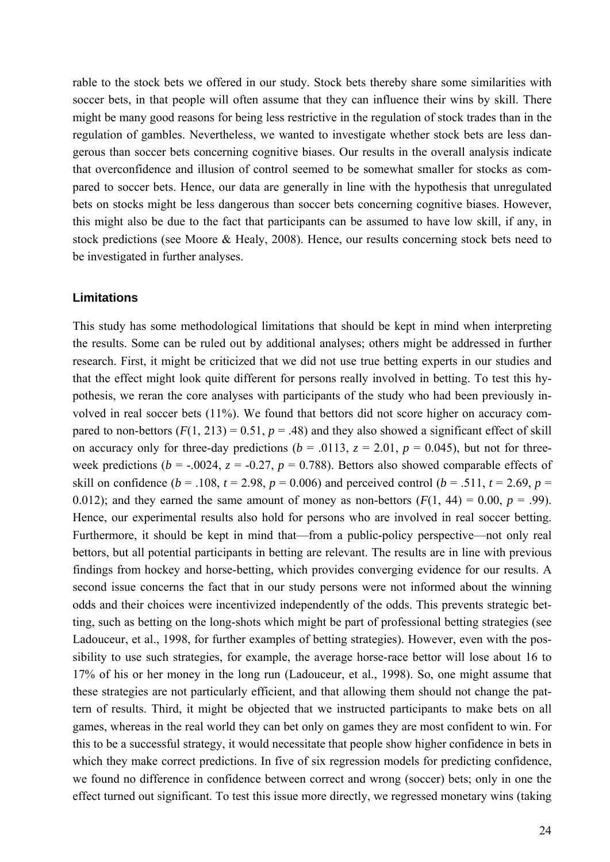rable to the stock bets we offered in our study. Stock bets thereby share some similarities with soccer bets, in that people will often assume that they can influence their wins by skill. There might be many good reasons for being less restrictive in the regulation of stock trades than in the regulation of gambles. Nevertheless, we wanted to investigate whether stock bets are less dangerous than soccer bets concerning cognitive biases. Our results in the overall analysis indicate that overconfidence and illusion of control seemed to be somewhat smaller for stocks as compared to soccer bets. Hence, our data are generally in line with the hypothesis that unregulated bets on stocks might be less dangerous than soccer bets concerning cognitive biases. However, this might also be due to the fact that participants can be assumed to have low skill, if any, in stock predictions (see Moore & Healy, 2008). Hence, our results concerning stock bets need to be investigated in further analyses.

#### **Limitations**

This study has some methodological limitations that should be kept in mind when interpreting the results. Some can be ruled out by additional analyses; others might be addressed in further research. First, it might be criticized that we did not use true betting experts in our studies and that the effect might look quite different for persons really involved in betting. To test this hypothesis, we reran the core analyses with participants of the study who had been previously involved in real soccer bets (11%). We found that bettors did not score higher on accuracy compared to non-bettors  $(F(1, 213) = 0.51, p = .48)$  and they also showed a significant effect of skill on accuracy only for three-day predictions ( $b = .0113$ ,  $z = 2.01$ ,  $p = 0.045$ ), but not for threeweek predictions ( $b = -0.024$ ,  $z = -0.27$ ,  $p = 0.788$ ). Bettors also showed comparable effects of skill on confidence ( $b = .108$ ,  $t = 2.98$ ,  $p = 0.006$ ) and perceived control ( $b = .511$ ,  $t = 2.69$ ,  $p =$ 0.012); and they earned the same amount of money as non-bettors  $(F(1, 44) = 0.00, p = .99)$ . Hence, our experimental results also hold for persons who are involved in real soccer betting. Furthermore, it should be kept in mind that—from a public-policy perspective—not only real bettors, but all potential participants in betting are relevant. The results are in line with previous findings from hockey and horse-betting, which provides converging evidence for our results. A second issue concerns the fact that in our study persons were not informed about the winning odds and their choices were incentivized independently of the odds. This prevents strategic betting, such as betting on the long-shots which might be part of professional betting strategies (see Ladouceur, et al., 1998, for further examples of betting strategies). However, even with the possibility to use such strategies, for example, the average horse-race bettor will lose about 16 to 17% of his or her money in the long run (Ladouceur, et al., 1998). So, one might assume that these strategies are not particularly efficient, and that allowing them should not change the pattern of results. Third, it might be objected that we instructed participants to make bets on all games, whereas in the real world they can bet only on games they are most confident to win. For this to be a successful strategy, it would necessitate that people show higher confidence in bets in which they make correct predictions. In five of six regression models for predicting confidence, we found no difference in confidence between correct and wrong (soccer) bets; only in one the effect turned out significant. To test this issue more directly, we regressed monetary wins (taking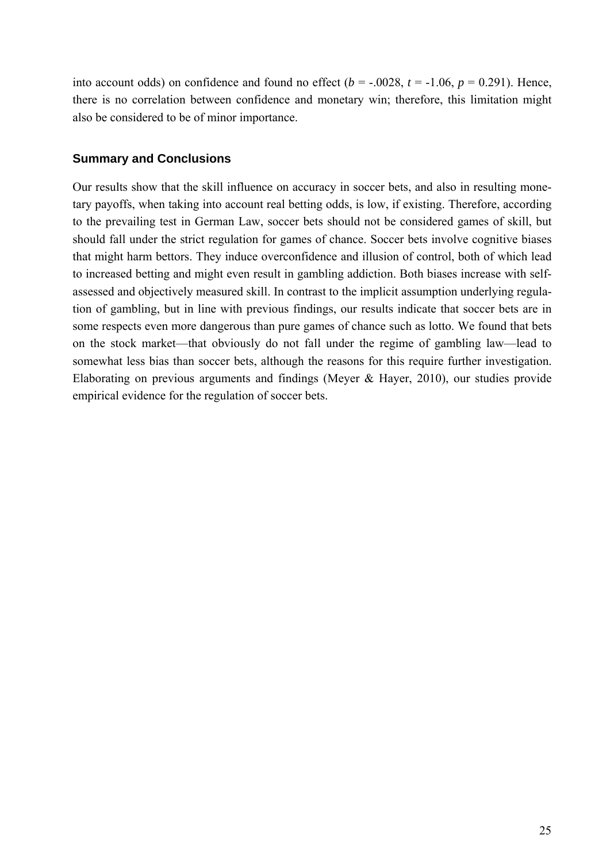into account odds) on confidence and found no effect  $(b = -0.0028, t = -1.06, p = 0.291)$ . Hence, there is no correlation between confidence and monetary win; therefore, this limitation might also be considered to be of minor importance.

#### **Summary and Conclusions**

Our results show that the skill influence on accuracy in soccer bets, and also in resulting monetary payoffs, when taking into account real betting odds, is low, if existing. Therefore, according to the prevailing test in German Law, soccer bets should not be considered games of skill, but should fall under the strict regulation for games of chance. Soccer bets involve cognitive biases that might harm bettors. They induce overconfidence and illusion of control, both of which lead to increased betting and might even result in gambling addiction. Both biases increase with selfassessed and objectively measured skill. In contrast to the implicit assumption underlying regulation of gambling, but in line with previous findings, our results indicate that soccer bets are in some respects even more dangerous than pure games of chance such as lotto. We found that bets on the stock market—that obviously do not fall under the regime of gambling law—lead to somewhat less bias than soccer bets, although the reasons for this require further investigation. Elaborating on previous arguments and findings (Meyer & Hayer, 2010), our studies provide empirical evidence for the regulation of soccer bets.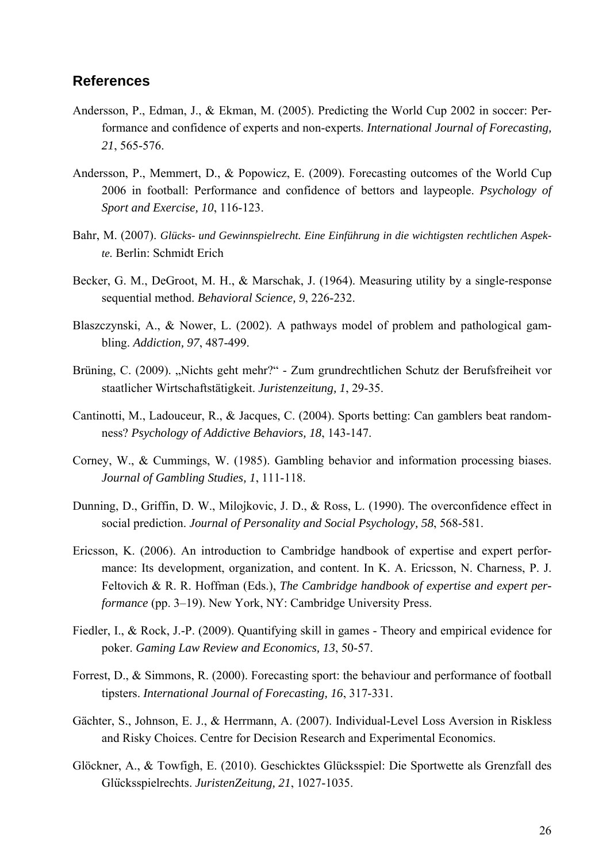#### **References**

- Andersson, P., Edman, J., & Ekman, M. (2005). Predicting the World Cup 2002 in soccer: Performance and confidence of experts and non-experts. *International Journal of Forecasting, 21*, 565-576.
- Andersson, P., Memmert, D., & Popowicz, E. (2009). Forecasting outcomes of the World Cup 2006 in football: Performance and confidence of bettors and laypeople. *Psychology of Sport and Exercise, 10*, 116-123.
- Bahr, M. (2007). *Glücks- und Gewinnspielrecht. Eine Einführung in die wichtigsten rechtlichen Aspekte.* Berlin: Schmidt Erich
- Becker, G. M., DeGroot, M. H., & Marschak, J. (1964). Measuring utility by a single-response sequential method. *Behavioral Science, 9*, 226-232.
- Blaszczynski, A., & Nower, L. (2002). A pathways model of problem and pathological gambling. *Addiction, 97*, 487-499.
- Brüning, C. (2009). "Nichts geht mehr?" Zum grundrechtlichen Schutz der Berufsfreiheit vor staatlicher Wirtschaftstätigkeit. *Juristenzeitung, 1*, 29-35.
- Cantinotti, M., Ladouceur, R., & Jacques, C. (2004). Sports betting: Can gamblers beat randomness? *Psychology of Addictive Behaviors, 18*, 143-147.
- Corney, W., & Cummings, W. (1985). Gambling behavior and information processing biases. *Journal of Gambling Studies, 1*, 111-118.
- Dunning, D., Griffin, D. W., Milojkovic, J. D., & Ross, L. (1990). The overconfidence effect in social prediction. *Journal of Personality and Social Psychology, 58*, 568-581.
- Ericsson, K. (2006). An introduction to Cambridge handbook of expertise and expert performance: Its development, organization, and content. In K. A. Ericsson, N. Charness, P. J. Feltovich & R. R. Hoffman (Eds.), *The Cambridge handbook of expertise and expert performance* (pp. 3–19). New York, NY: Cambridge University Press.
- Fiedler, I., & Rock, J.-P. (2009). Quantifying skill in games Theory and empirical evidence for poker. *Gaming Law Review and Economics, 13*, 50-57.
- Forrest, D., & Simmons, R. (2000). Forecasting sport: the behaviour and performance of football tipsters. *International Journal of Forecasting, 16*, 317-331.
- Gächter, S., Johnson, E. J., & Herrmann, A. (2007). Individual-Level Loss Aversion in Riskless and Risky Choices. Centre for Decision Research and Experimental Economics.
- Glöckner, A., & Towfigh, E. (2010). Geschicktes Glücksspiel: Die Sportwette als Grenzfall des Glücksspielrechts. *JuristenZeitung*, 21, 1027-1035.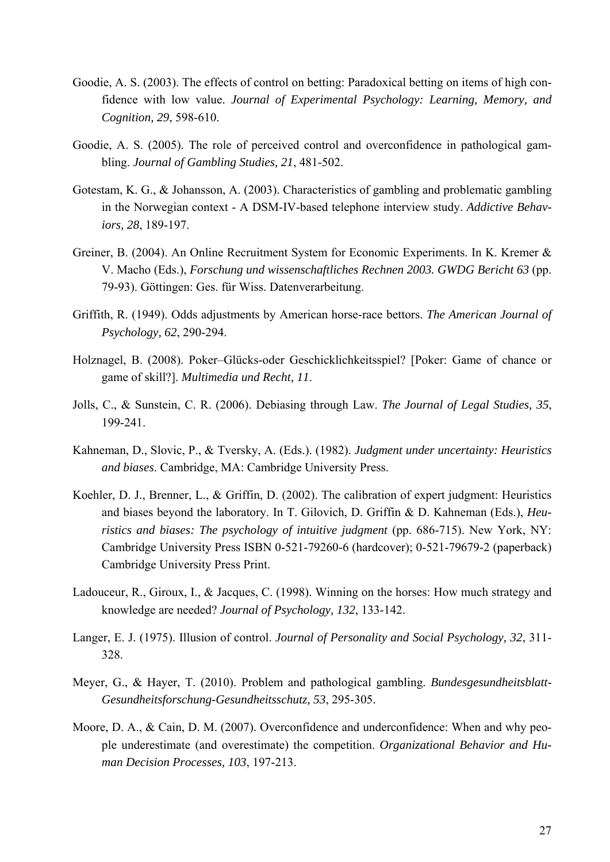- Goodie, A. S. (2003). The effects of control on betting: Paradoxical betting on items of high confidence with low value. *Journal of Experimental Psychology: Learning, Memory, and Cognition, 29*, 598-610.
- Goodie, A. S. (2005). The role of perceived control and overconfidence in pathological gambling. *Journal of Gambling Studies, 21*, 481-502.
- Gotestam, K. G., & Johansson, A. (2003). Characteristics of gambling and problematic gambling in the Norwegian context - A DSM-IV-based telephone interview study. *Addictive Behaviors, 28*, 189-197.
- Greiner, B. (2004). An Online Recruitment System for Economic Experiments. In K. Kremer & V. Macho (Eds.), *Forschung und wissenschaftliches Rechnen 2003. GWDG Bericht 63* (pp. 79-93). Göttingen: Ges. für Wiss. Datenverarbeitung.
- Griffith, R. (1949). Odds adjustments by American horse-race bettors. *The American Journal of Psychology, 62*, 290-294.
- Holznagel, B. (2008). Poker–Glücks-oder Geschicklichkeitsspiel? [Poker: Game of chance or game of skill?]. *Multimedia und Recht, 11*.
- Jolls, C., & Sunstein, C. R. (2006). Debiasing through Law. *The Journal of Legal Studies, 35*, 199-241.
- Kahneman, D., Slovic, P., & Tversky, A. (Eds.). (1982). *Judgment under uncertainty: Heuristics and biases*. Cambridge, MA: Cambridge University Press.
- Koehler, D. J., Brenner, L., & Griffin, D. (2002). The calibration of expert judgment: Heuristics and biases beyond the laboratory. In T. Gilovich, D. Griffin & D. Kahneman (Eds.), *Heuristics and biases: The psychology of intuitive judgment* (pp. 686-715). New York, NY: Cambridge University Press ISBN 0-521-79260-6 (hardcover); 0-521-79679-2 (paperback) Cambridge University Press Print.
- Ladouceur, R., Giroux, I., & Jacques, C. (1998). Winning on the horses: How much strategy and knowledge are needed? *Journal of Psychology, 132*, 133-142.
- Langer, E. J. (1975). Illusion of control. *Journal of Personality and Social Psychology, 32*, 311- 328.
- Meyer, G., & Hayer, T. (2010). Problem and pathological gambling. *Bundesgesundheitsblatt-Gesundheitsforschung-Gesundheitsschutz, 53*, 295-305.
- Moore, D. A., & Cain, D. M. (2007). Overconfidence and underconfidence: When and why people underestimate (and overestimate) the competition. *Organizational Behavior and Human Decision Processes, 103*, 197-213.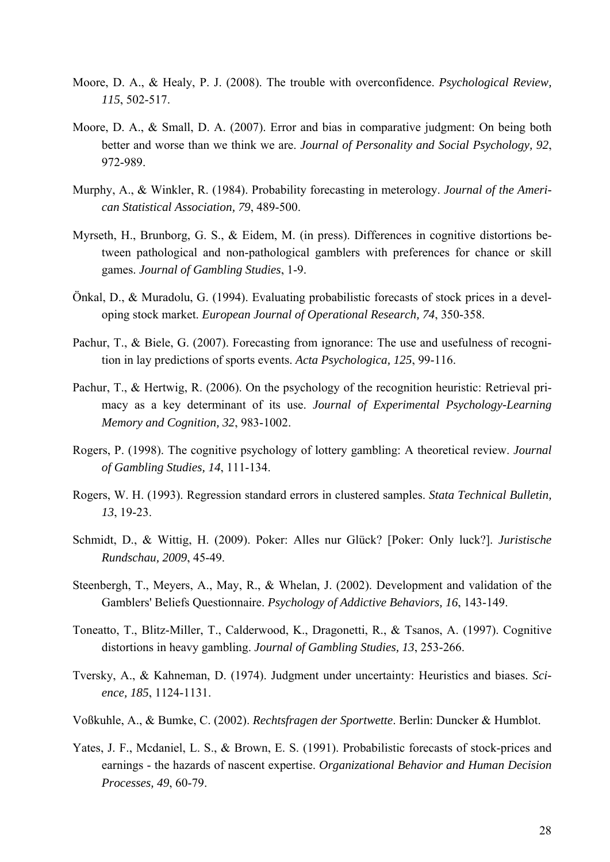- Moore, D. A., & Healy, P. J. (2008). The trouble with overconfidence. *Psychological Review, 115*, 502-517.
- Moore, D. A., & Small, D. A. (2007). Error and bias in comparative judgment: On being both better and worse than we think we are. *Journal of Personality and Social Psychology, 92*, 972-989.
- Murphy, A., & Winkler, R. (1984). Probability forecasting in meterology. *Journal of the American Statistical Association, 79*, 489-500.
- Myrseth, H., Brunborg, G. S., & Eidem, M. (in press). Differences in cognitive distortions between pathological and non-pathological gamblers with preferences for chance or skill games. *Journal of Gambling Studies*, 1-9.
- Önkal, D., & Muradolu, G. (1994). Evaluating probabilistic forecasts of stock prices in a developing stock market. *European Journal of Operational Research, 74*, 350-358.
- Pachur, T., & Biele, G. (2007). Forecasting from ignorance: The use and usefulness of recognition in lay predictions of sports events. *Acta Psychologica, 125*, 99-116.
- Pachur, T., & Hertwig, R. (2006). On the psychology of the recognition heuristic: Retrieval primacy as a key determinant of its use. *Journal of Experimental Psychology-Learning Memory and Cognition, 32*, 983-1002.
- Rogers, P. (1998). The cognitive psychology of lottery gambling: A theoretical review. *Journal of Gambling Studies, 14*, 111-134.
- Rogers, W. H. (1993). Regression standard errors in clustered samples. *Stata Technical Bulletin, 13*, 19-23.
- Schmidt, D., & Wittig, H. (2009). Poker: Alles nur Glück? [Poker: Only luck?]. *Juristische Rundschau, 2009*, 45-49.
- Steenbergh, T., Meyers, A., May, R., & Whelan, J. (2002). Development and validation of the Gamblers' Beliefs Questionnaire. *Psychology of Addictive Behaviors, 16*, 143-149.
- Toneatto, T., Blitz-Miller, T., Calderwood, K., Dragonetti, R., & Tsanos, A. (1997). Cognitive distortions in heavy gambling. *Journal of Gambling Studies, 13*, 253-266.
- Tversky, A., & Kahneman, D. (1974). Judgment under uncertainty: Heuristics and biases. *Science, 185*, 1124-1131.
- Voßkuhle, A., & Bumke, C. (2002). *Rechtsfragen der Sportwette*. Berlin: Duncker & Humblot.
- Yates, J. F., Mcdaniel, L. S., & Brown, E. S. (1991). Probabilistic forecasts of stock-prices and earnings - the hazards of nascent expertise. *Organizational Behavior and Human Decision Processes, 49*, 60-79.